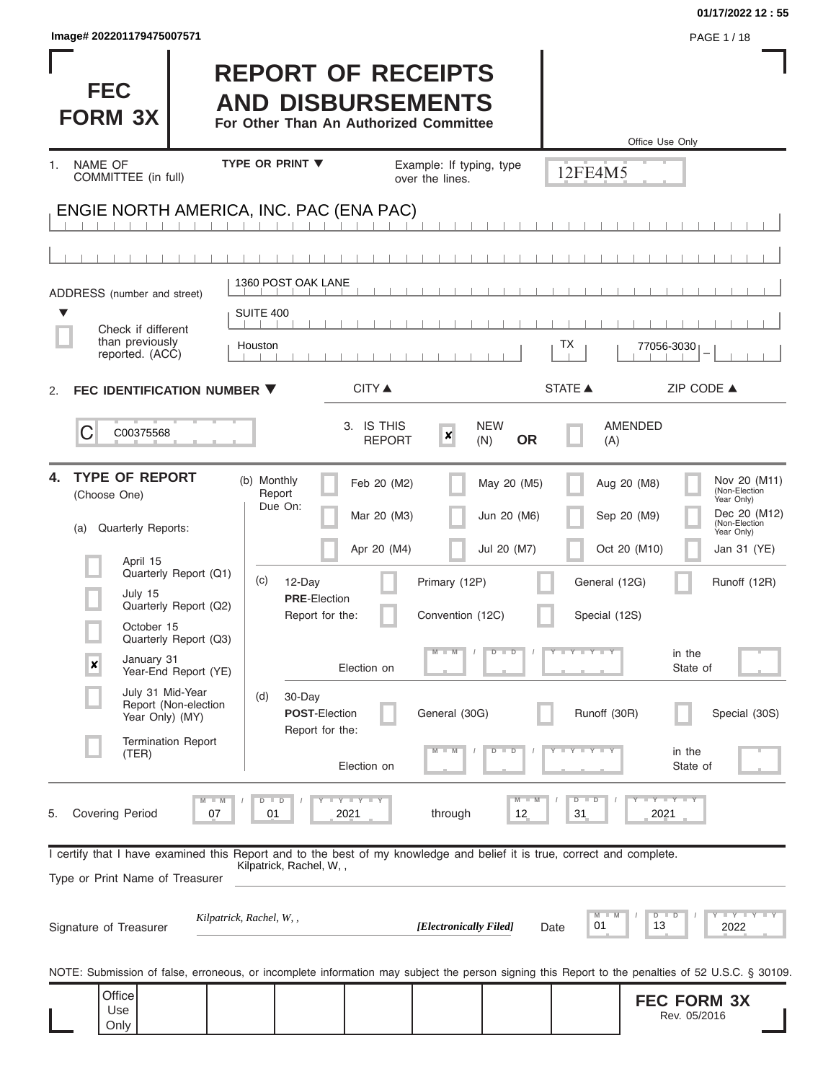| Image# 202201179475007571                                                                                                                                                                                                                                                                                                                                  |                                                                                                                                                                                                                                                           |                                                                          |                                                                            |                                                                                                                                 | PAGE 1 / 18                                                                                                                                                                                                          |
|------------------------------------------------------------------------------------------------------------------------------------------------------------------------------------------------------------------------------------------------------------------------------------------------------------------------------------------------------------|-----------------------------------------------------------------------------------------------------------------------------------------------------------------------------------------------------------------------------------------------------------|--------------------------------------------------------------------------|----------------------------------------------------------------------------|---------------------------------------------------------------------------------------------------------------------------------|----------------------------------------------------------------------------------------------------------------------------------------------------------------------------------------------------------------------|
| <b>FEC</b><br><b>FORM 3X</b>                                                                                                                                                                                                                                                                                                                               | <b>REPORT OF RECEIPTS</b><br><b>AND DISBURSEMENTS</b><br>For Other Than An Authorized Committee                                                                                                                                                           |                                                                          |                                                                            |                                                                                                                                 | Office Use Only                                                                                                                                                                                                      |
| NAME OF<br>1.<br>COMMITTEE (in full)                                                                                                                                                                                                                                                                                                                       | <b>TYPE OR PRINT ▼</b>                                                                                                                                                                                                                                    | Example: If typing, type<br>over the lines.                              |                                                                            | 12FE4M5                                                                                                                         |                                                                                                                                                                                                                      |
| ENGIE NORTH AMERICA, INC. PAC (ENA PAC)                                                                                                                                                                                                                                                                                                                    |                                                                                                                                                                                                                                                           |                                                                          |                                                                            |                                                                                                                                 |                                                                                                                                                                                                                      |
|                                                                                                                                                                                                                                                                                                                                                            |                                                                                                                                                                                                                                                           |                                                                          |                                                                            |                                                                                                                                 |                                                                                                                                                                                                                      |
|                                                                                                                                                                                                                                                                                                                                                            | 1360 POST OAK LANE                                                                                                                                                                                                                                        |                                                                          |                                                                            |                                                                                                                                 |                                                                                                                                                                                                                      |
| ADDRESS (number and street)<br>▼                                                                                                                                                                                                                                                                                                                           | SUITE 400                                                                                                                                                                                                                                                 |                                                                          |                                                                            |                                                                                                                                 |                                                                                                                                                                                                                      |
| Check if different<br>than previously<br>reported. (ACC)                                                                                                                                                                                                                                                                                                   | Houston                                                                                                                                                                                                                                                   |                                                                          |                                                                            | ТX                                                                                                                              | 77056-3030                                                                                                                                                                                                           |
| FEC IDENTIFICATION NUMBER ▼<br>2.                                                                                                                                                                                                                                                                                                                          | <b>CITY</b> ▲                                                                                                                                                                                                                                             |                                                                          |                                                                            | STATE A                                                                                                                         | ZIP CODE ▲                                                                                                                                                                                                           |
| C<br>C00375568                                                                                                                                                                                                                                                                                                                                             | 3. IS THIS                                                                                                                                                                                                                                                | $\boldsymbol{x}$<br><b>REPORT</b>                                        | <b>NEW</b><br><b>OR</b><br>(N)                                             | (A)                                                                                                                             | <b>AMENDED</b>                                                                                                                                                                                                       |
| <b>TYPE OF REPORT</b><br>4.<br>(Choose One)<br><b>Quarterly Reports:</b><br>(a)<br>April 15<br>Quarterly Report (Q1)<br>July 15<br>Quarterly Report (Q2)<br>October 15<br>Quarterly Report (Q3)<br>January 31<br>X<br>Year-End Report (YE)<br>July 31 Mid-Year<br>Report (Non-election<br>Year Only) (MY)<br><b>Termination Report</b><br>(TER)<br>$M$ $M$ | (b) Monthly<br>Feb 20 (M2)<br>Report<br>Due On:<br>Mar 20 (M3)<br>Apr 20 (M4)<br>(c)<br>12-Day<br><b>PRE-Election</b><br>Report for the:<br>Election on<br>(d)<br>30-Day<br><b>POST-Election</b><br>Report for the:<br>Election on<br>$+Y+Y+Y$<br>$D$ $D$ | Primary (12P)<br>Convention (12C)<br>$M - M$<br>General (30G)<br>$M - M$ | May 20 (M5)<br>Jun 20 (M6)<br>Jul 20 (M7)<br>$D$ $D$<br>$D$ $D$<br>$M - M$ | Aug 20 (M8)<br>Sep 20 (M9)<br>General (12G)<br>Special (12S)<br>Y F Y F Y F Y<br>Runoff (30R)<br>$Y - Y - Y - Y - Y$<br>$D$ $D$ | Nov 20 (M11)<br>(Non-Election<br>Year Only)<br>Dec 20 (M12)<br>(Non-Election<br>Year Only)<br>Oct 20 (M10)<br>Jan 31 (YE)<br>Runoff (12R)<br>in the<br>State of<br>Special (30S)<br>in the<br>State of<br>Y FY FY FY |
| <b>Covering Period</b><br>07<br>5.<br>I certify that I have examined this Report and to the best of my knowledge and belief it is true, correct and complete.<br>Type or Print Name of Treasurer<br>Signature of Treasurer                                                                                                                                 | 2021<br>01<br>Kilpatrick, Rachel, W,,<br>Kilpatrick, Rachel, W,,                                                                                                                                                                                          | through<br>[Electronically Filed]                                        | 12<br>Date                                                                 | 31<br>M<br>$-M$<br>01                                                                                                           | 2021<br>$Y$ $Y$ $Y$ $Y$ $Y$<br>$D$ $D$<br>13<br>2022                                                                                                                                                                 |
| NOTE: Submission of false, erroneous, or incomplete information may subject the person signing this Report to the penalties of 52 U.S.C. § 30109.<br>Office<br>Use<br>Only                                                                                                                                                                                 |                                                                                                                                                                                                                                                           |                                                                          |                                                                            |                                                                                                                                 | <b>FEC FORM 3X</b><br>Rev. 05/2016                                                                                                                                                                                   |

**01/17/2022 12 : 55**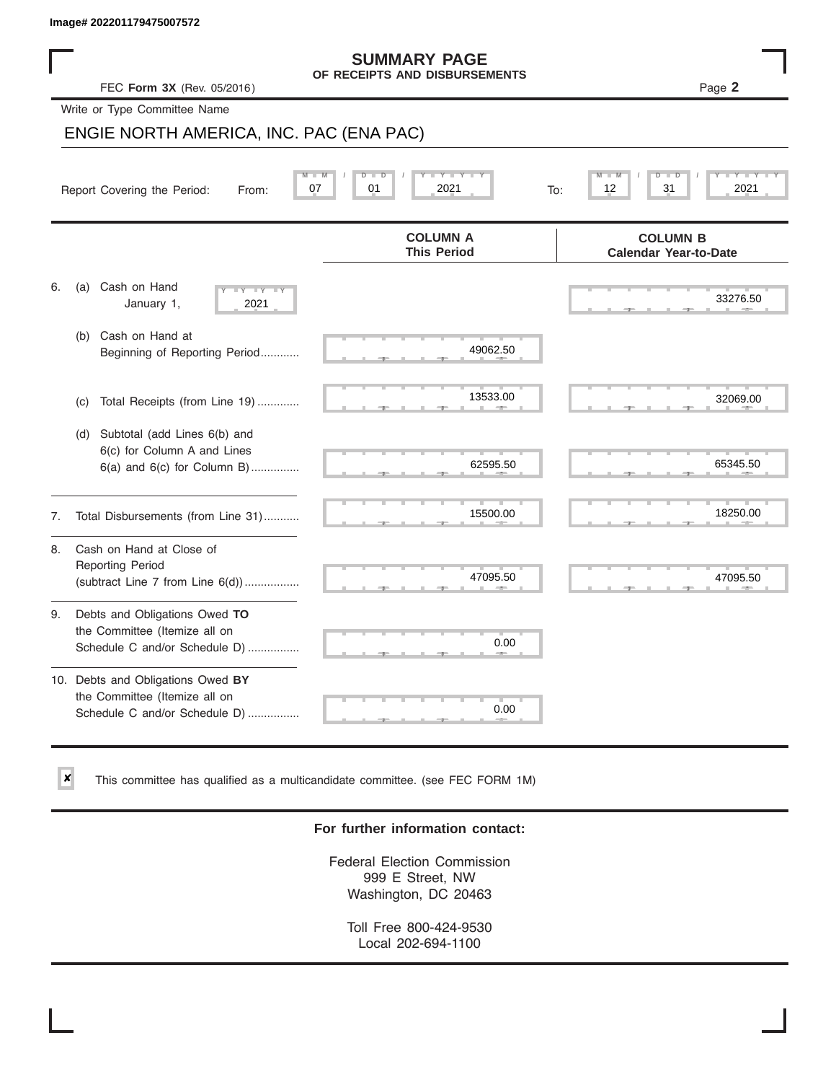$\vert x \vert$ 

|    | Image# 202201179475007572                                                                             |                                                      |                                                 |
|----|-------------------------------------------------------------------------------------------------------|------------------------------------------------------|-------------------------------------------------|
|    | FEC Form 3X (Rev. 05/2016)                                                                            | <b>SUMMARY PAGE</b><br>OF RECEIPTS AND DISBURSEMENTS | Page 2                                          |
|    | Write or Type Committee Name                                                                          |                                                      |                                                 |
|    | ENGIE NORTH AMERICA, INC. PAC (ENA PAC)                                                               |                                                      |                                                 |
|    | Report Covering the Period:<br>From:                                                                  | W<br>D<br>$\blacksquare$<br>Y Y<br>2021<br>07<br>01  | 12<br>31<br>2021<br>To:                         |
|    |                                                                                                       | <b>COLUMN A</b><br><b>This Period</b>                | <b>COLUMN B</b><br><b>Calendar Year-to-Date</b> |
| 6. | Cash on Hand<br>(a)<br>$+Y+Y+Y$<br>January 1,<br>2021                                                 |                                                      | 33276.50                                        |
|    | Cash on Hand at<br>(b)<br>Beginning of Reporting Period                                               | 49062.50                                             |                                                 |
|    | Total Receipts (from Line 19)<br>(c)                                                                  | 13533.00                                             | 32069.00                                        |
|    | Subtotal (add Lines 6(b) and<br>(d)<br>6(c) for Column A and Lines<br>$6(a)$ and $6(c)$ for Column B) | 62595.50                                             | 65345.50                                        |
| 7. | Total Disbursements (from Line 31)                                                                    | 15500.00                                             | 18250.00                                        |
| 8. | Cash on Hand at Close of<br><b>Reporting Period</b><br>(subtract Line $7$ from Line $6(d)$ )          | 47095.50                                             | 47095.50                                        |
| 9. | Debts and Obligations Owed TO<br>the Committee (Itemize all on<br>Schedule C and/or Schedule D)       | 0.00                                                 |                                                 |
|    | 10. Debts and Obligations Owed BY<br>the Committee (Itemize all on<br>Schedule C and/or Schedule D)   | T.<br>0.00                                           |                                                 |

This committee has qualified as a multicandidate committee. (see FEC FORM 1M)

### **For further information contact:**

Federal Election Commission 999 E Street, NW Washington, DC 20463

Toll Free 800-424-9530 Local 202-694-1100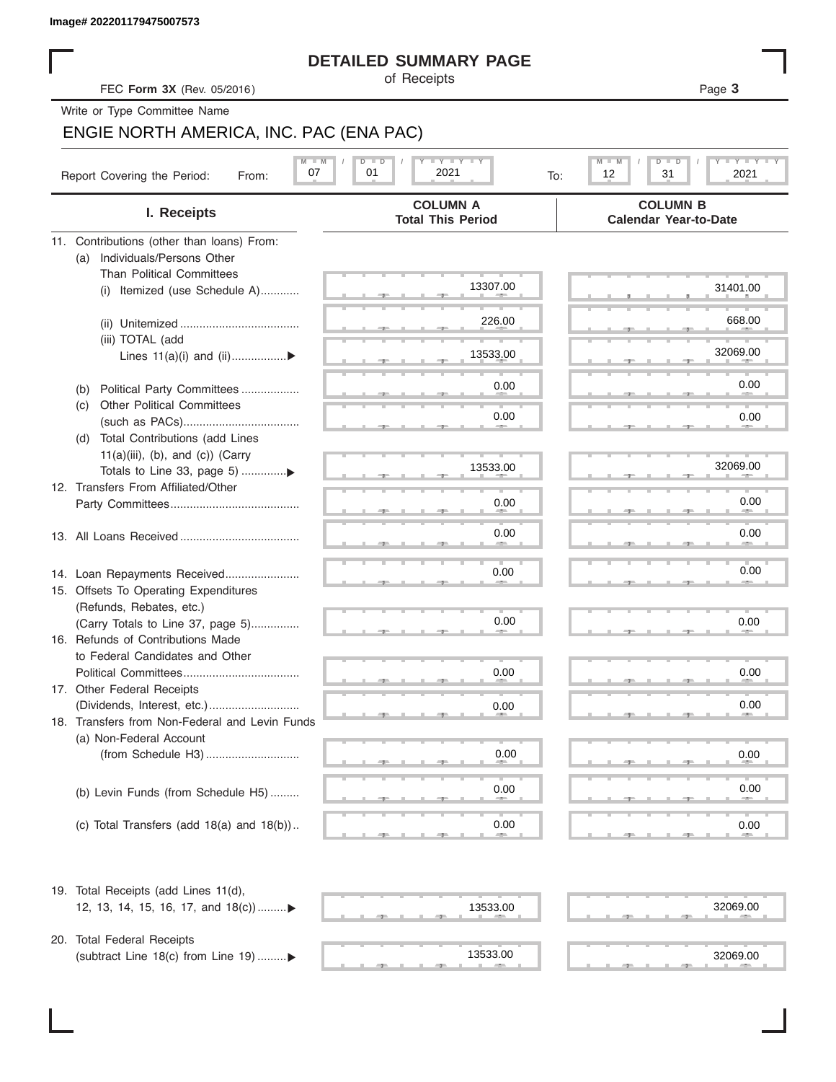### **DETAILED SUMMARY PAGE**

### ENGIE NORTH AMERICA, INC. PAC (ENA PAC)

| Image# 202201179475007573                                         |                                                                                                        |                                                 |
|-------------------------------------------------------------------|--------------------------------------------------------------------------------------------------------|-------------------------------------------------|
|                                                                   | <b>DETAILED SUMMARY PAGE</b><br>of Receipts                                                            |                                                 |
| FEC Form 3X (Rev. 05/2016)                                        |                                                                                                        | Page 3                                          |
| Write or Type Committee Name                                      |                                                                                                        |                                                 |
| ENGIE NORTH AMERICA, INC. PAC (ENA PAC)                           |                                                                                                        |                                                 |
|                                                                   | $\mathbf{I}$ $\mathbf{Y}$ $\mathbf{I}$ $\mathbf{Y}$ $\mathbf{I}$ $\mathbf{Y}$<br>$M - M$<br>$D$ $\Box$ | $T - Y = T - Y$<br>$M$ $\Box$<br>D<br>ъ         |
| Report Covering the Period:<br>From:                              | 2021<br>07<br>01<br>To:                                                                                | 12<br>31<br>2021                                |
| I. Receipts                                                       | <b>COLUMN A</b><br><b>Total This Period</b>                                                            | <b>COLUMN B</b><br><b>Calendar Year-to-Date</b> |
| 11. Contributions (other than loans) From:                        |                                                                                                        |                                                 |
| Individuals/Persons Other<br>(a)                                  |                                                                                                        |                                                 |
| <b>Than Political Committees</b>                                  | 13307.00                                                                                               | 31401.00                                        |
| Itemized (use Schedule A)<br>(i)                                  |                                                                                                        |                                                 |
|                                                                   | 226.00                                                                                                 | 668.00                                          |
| (iii) TOTAL (add                                                  |                                                                                                        |                                                 |
| Lines $11(a)(i)$ and $(ii)$                                       | 13533.00                                                                                               | 32069.00                                        |
|                                                                   |                                                                                                        |                                                 |
| Political Party Committees<br>(b)                                 | 0.00                                                                                                   | 0.00                                            |
| Other Political Committees<br>(C)                                 | 0.00                                                                                                   | 0.00                                            |
|                                                                   |                                                                                                        |                                                 |
| Total Contributions (add Lines<br>(d)                             |                                                                                                        |                                                 |
| $11(a)(iii)$ , (b), and (c)) (Carry                               | 13533.00                                                                                               | 32069.00                                        |
| 12. Transfers From Affiliated/Other                               |                                                                                                        |                                                 |
|                                                                   | 0.00                                                                                                   | 0.00                                            |
|                                                                   |                                                                                                        |                                                 |
|                                                                   | 0.00                                                                                                   | 0.00                                            |
|                                                                   |                                                                                                        |                                                 |
| 14. Loan Repayments Received                                      | 0.00                                                                                                   | 0.00                                            |
| 15. Offsets To Operating Expenditures                             |                                                                                                        |                                                 |
| (Refunds, Rebates, etc.)                                          |                                                                                                        |                                                 |
| (Carry Totals to Line 37, page 5)                                 | 0.00                                                                                                   | 0.00                                            |
| 16. Refunds of Contributions Made                                 |                                                                                                        |                                                 |
| to Federal Candidates and Other<br>Political Committees           | 0.00                                                                                                   | 0.00                                            |
| 17. Other Federal Receipts                                        |                                                                                                        |                                                 |
|                                                                   | 0.00                                                                                                   | 0.00                                            |
| 18. Transfers from Non-Federal and Levin Funds                    |                                                                                                        |                                                 |
| (a) Non-Federal Account                                           |                                                                                                        |                                                 |
|                                                                   | 0.00                                                                                                   | 0.00                                            |
|                                                                   |                                                                                                        |                                                 |
| (b) Levin Funds (from Schedule H5)                                | 0.00                                                                                                   | 0.00                                            |
|                                                                   |                                                                                                        |                                                 |
| (c) Total Transfers (add $18(a)$ and $18(b)$ )                    | 0.00                                                                                                   | 0.00                                            |
| 19. Total Receipts (add Lines 11(d),                              |                                                                                                        |                                                 |
| 12, 13, 14, 15, 16, 17, and 18(c))▶                               | 13533.00                                                                                               | 32069.00                                        |
|                                                                   |                                                                                                        |                                                 |
| 20. Total Federal Receipts<br>(subtract Line 18(c) from Line 19)▶ | 13533.00                                                                                               | 32069.00                                        |
|                                                                   |                                                                                                        |                                                 |

(subtract Line 18(c) from Line 19) .........

 $\frac{32069.0}{2000}$ 13533.00

|  | 32069.00 |
|--|----------|
|  |          |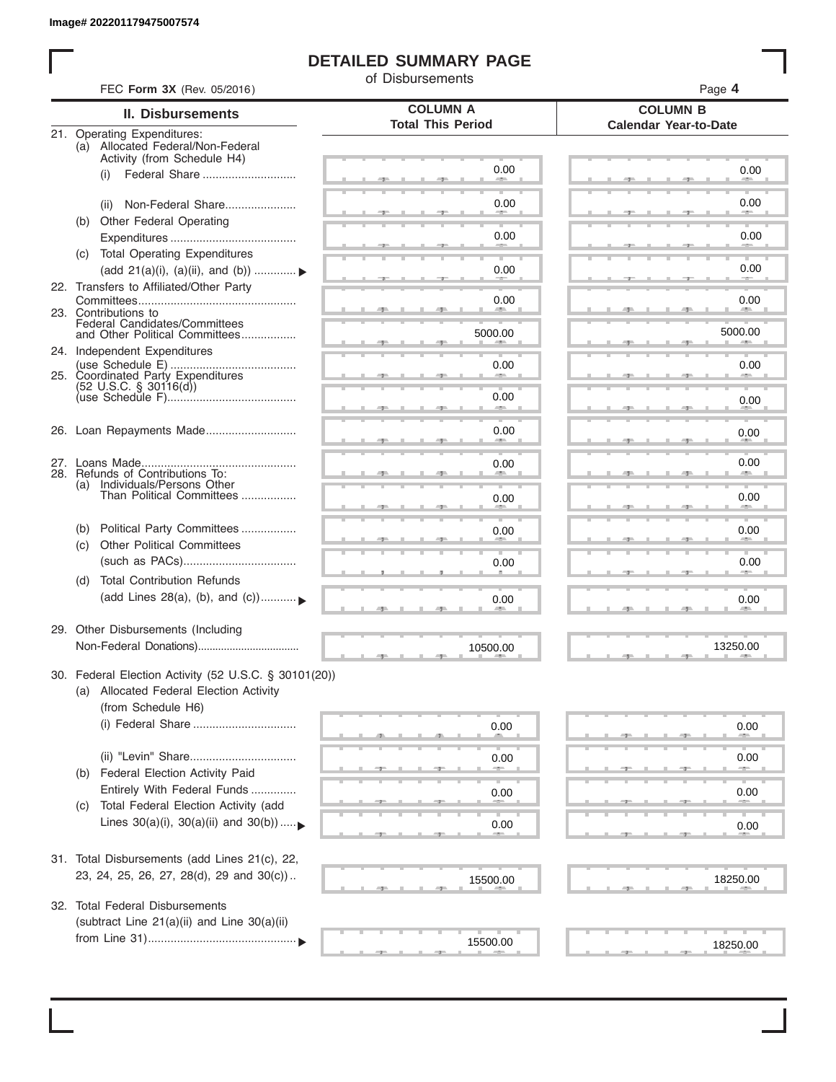### **DETAILED SUMMARY PAGE**

of Disbursements

|            | <b>II. Disbursements</b>                                         | <b>COLUMN A</b>          | <b>COLUMN B</b>              |
|------------|------------------------------------------------------------------|--------------------------|------------------------------|
|            |                                                                  | <b>Total This Period</b> | <b>Calendar Year-to-Date</b> |
|            | 21. Operating Expenditures:<br>(a) Allocated Federal/Non-Federal |                          |                              |
|            | Activity (from Schedule H4)                                      |                          |                              |
|            | (i)                                                              | 0.00                     | 0.00                         |
|            |                                                                  |                          |                              |
|            | Non-Federal Share<br>(ii)                                        | 0.00                     | 0.00                         |
|            | (b) Other Federal Operating                                      |                          |                              |
|            |                                                                  | 0.00                     | 0.00                         |
|            | (c) Total Operating Expenditures                                 |                          |                              |
|            | (add 21(a)(i), (a)(ii), and (b))                                 | 0.00                     | 0.00                         |
|            | 22. Transfers to Affiliated/Other Party                          |                          |                              |
|            | 23. Contributions to                                             | 0.00<br><b>Allen</b>     | 0.00<br><b>AREA</b>          |
|            | Federal Candidates/Committees<br>and Other Political Committees  |                          | 5000.00                      |
|            |                                                                  | 5000.00                  |                              |
|            | 24. Independent Expenditures                                     |                          |                              |
|            | 25. Coordinated Party Expenditures                               | 0.00                     | 0.00                         |
|            | $(52 \text{ U.S.C. }$ § 30116(d))                                | 0.00                     |                              |
|            |                                                                  |                          | 0.00                         |
|            | 26. Loan Repayments Made                                         | 0.00                     |                              |
|            |                                                                  |                          | 0.00                         |
|            |                                                                  |                          | 0.00                         |
|            | 28. Refunds of Contributions To:                                 | 0.00                     |                              |
|            | (a) Individuals/Persons Other<br>Than Political Committees       |                          |                              |
|            |                                                                  | 0.00                     | 0.00                         |
|            | Political Party Committees                                       |                          |                              |
| (b)<br>(C) | <b>Other Political Committees</b>                                | 0.00                     | 0.00                         |
|            |                                                                  | 0.00                     | 0.00                         |
|            |                                                                  |                          |                              |
| (d)        | <b>Total Contribution Refunds</b>                                |                          |                              |
|            | (add Lines 28(a), (b), and (c))                                  | 0.00                     | 0.00                         |
|            |                                                                  |                          |                              |
|            | 29. Other Disbursements (Including                               |                          |                              |
|            |                                                                  | 10500.00                 | 13250.00                     |
|            | 30. Federal Election Activity (52 U.S.C. § 30101(20))            |                          |                              |
|            | (a) Allocated Federal Election Activity                          |                          |                              |
|            | (from Schedule H6)                                               |                          |                              |
|            |                                                                  | 0.00                     | 0.00                         |
|            |                                                                  |                          |                              |
|            |                                                                  | 0.00                     | 0.00                         |
| (b)        | Federal Election Activity Paid                                   |                          |                              |
|            | Entirely With Federal Funds                                      | 0.00                     | 0.00                         |
| (C)        | Total Federal Election Activity (add                             |                          |                              |
|            | Lines $30(a)(i)$ , $30(a)(ii)$ and $30(b))$                      | 0.00                     | 0.00                         |
|            |                                                                  |                          |                              |
|            | 31. Total Disbursements (add Lines 21(c), 22,                    |                          |                              |
|            | 23, 24, 25, 26, 27, 28(d), 29 and 30(c))                         |                          |                              |
|            |                                                                  | 15500.00                 | 18250.00                     |
| 32.        | <b>Total Federal Disbursements</b>                               |                          |                              |
|            | (subtract Line 21(a)(ii) and Line 30(a)(ii)                      |                          |                              |
|            |                                                                  | 15500.00                 | 18250.00                     |
|            |                                                                  |                          |                              |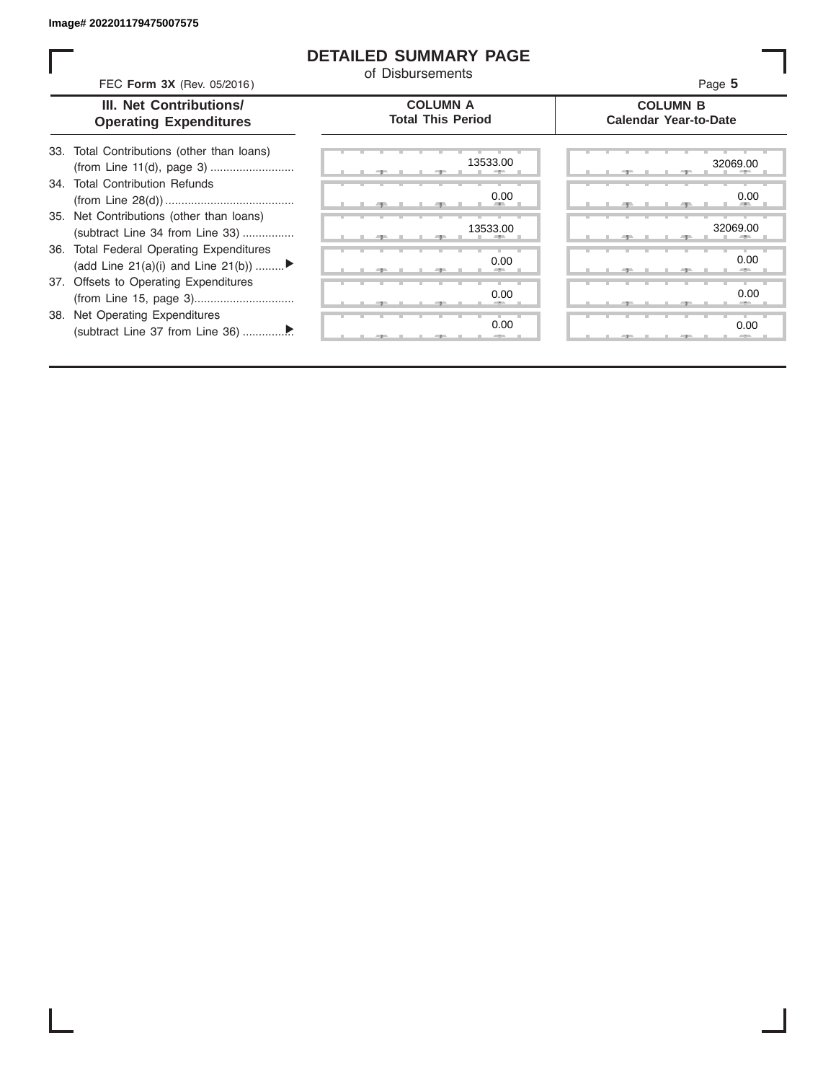### **DETAILED SUMMARY PAGE**

of Disbursements

FEC **Form 3X** (Rev. 05/2016) Page **5**

| III. Net Contributions/       |
|-------------------------------|
| <b>Operating Expenditures</b> |

#### **COLUMN A Total This Period**

#### **COLUMN B Calendar Year-to-Date**

| 33. Total Contributions (other than loans) |  |
|--------------------------------------------|--|
| 34. Total Contribution Refunds             |  |
|                                            |  |
| 35. Net Contributions (other than loans)   |  |
| (subtract Line 34 from Line 33)            |  |
| 36. Total Federal Operating Expenditures   |  |
| (add Line 21(a)(i) and Line 21(b))         |  |
| 37. Offsets to Operating Expenditures      |  |
|                                            |  |
| 38. Net Operating Expenditures             |  |
|                                            |  |

|  |  |  |   |  | 13533.00                          |  |  |  |  | 32069.0 |                 |
|--|--|--|---|--|-----------------------------------|--|--|--|--|---------|-----------------|
|  |  |  |   |  | 0.00<br><b>All Contracts</b><br>m |  |  |  |  |         | 0.0<br>m        |
|  |  |  |   |  | 13533.00<br>-                     |  |  |  |  | 32069.0 | <b>ALC 1999</b> |
|  |  |  |   |  | 0.00<br>-                         |  |  |  |  |         | 0.0<br>-        |
|  |  |  |   |  | 0.00<br>$-$                       |  |  |  |  |         | 0. <sub>C</sub> |
|  |  |  | ٠ |  | 0.00<br>$-$                       |  |  |  |  |         | 0.0<br>$-2-$    |
|  |  |  |   |  |                                   |  |  |  |  |         |                 |

|  |  | 13533.00<br>٠      |  |  |  |    | 32069.00<br>--               |
|--|--|--------------------|--|--|--|----|------------------------------|
|  |  | 0.00<br><b>ALL</b> |  |  |  | 49 | 0.00<br><b>All Contracts</b> |
|  |  | 13533.00<br>W.     |  |  |  |    | 32069.00<br>н.               |
|  |  | 0.00<br>-          |  |  |  |    | 0.00                         |
|  |  |                    |  |  |  |    | -                            |
|  |  | 0.00               |  |  |  |    | 0.00                         |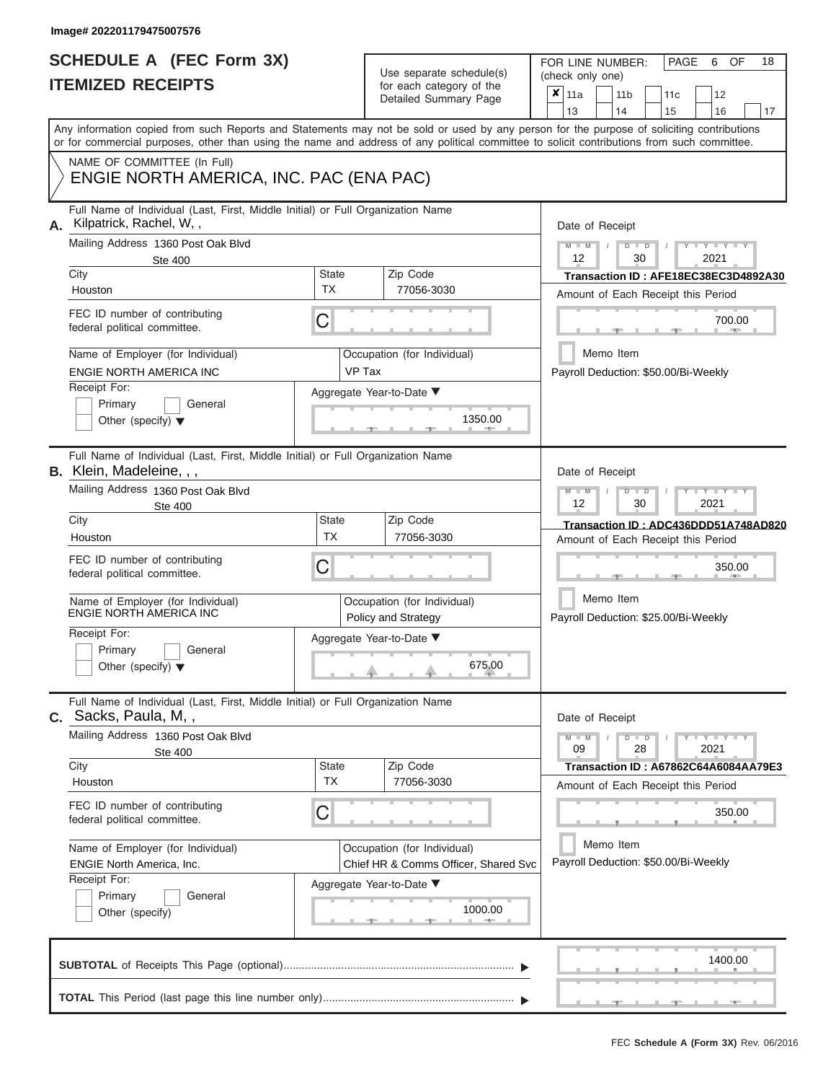## **SCHEDULE A (FEC Form 3X) ITEMIZED RECEIPTS**

Use separate schedule(s)<br>for each category of the

FOR LINE NUMBER:<br>(check only one)

PAGE 6 OF 18

|    |                                                                                                                                            |                    | babii batogory<br>Detailed Summary Page            | x                                            | 11a                                                   |  | 11 <sub>b</sub> |               | 11 <sub>c</sub> | 12                                   |    |  |  |  |
|----|--------------------------------------------------------------------------------------------------------------------------------------------|--------------------|----------------------------------------------------|----------------------------------------------|-------------------------------------------------------|--|-----------------|---------------|-----------------|--------------------------------------|----|--|--|--|
|    | Any information copied from such Reports and Statements may not be sold or used by any person for the purpose of soliciting contributions  |                    |                                                    |                                              | 13                                                    |  | 14              |               | 15              | 16                                   | 17 |  |  |  |
|    | or for commercial purposes, other than using the name and address of any political committee to solicit contributions from such committee. |                    |                                                    |                                              |                                                       |  |                 |               |                 |                                      |    |  |  |  |
|    | NAME OF COMMITTEE (In Full)<br>ENGIE NORTH AMERICA, INC. PAC (ENA PAC)                                                                     |                    |                                                    |                                              |                                                       |  |                 |               |                 |                                      |    |  |  |  |
| А. | Full Name of Individual (Last, First, Middle Initial) or Full Organization Name<br>Kilpatrick, Rachel, W,,                                 |                    |                                                    |                                              | Date of Receipt                                       |  |                 |               |                 |                                      |    |  |  |  |
|    | Mailing Address 1360 Post Oak Blvd<br><b>Ste 400</b>                                                                                       |                    |                                                    |                                              | $M - M$<br>$D$ $D$<br>$Y - Y - Y$<br>12<br>30<br>2021 |  |                 |               |                 |                                      |    |  |  |  |
|    | City<br>Houston                                                                                                                            | State<br><b>TX</b> | Zip Code<br>77056-3030                             |                                              |                                                       |  |                 |               |                 | Transaction ID: AFE18EC38EC3D4892A30 |    |  |  |  |
|    | FEC ID number of contributing                                                                                                              |                    |                                                    |                                              | Amount of Each Receipt this Period                    |  |                 |               |                 |                                      |    |  |  |  |
|    | federal political committee.                                                                                                               | С                  |                                                    |                                              |                                                       |  |                 |               |                 | 700.00                               |    |  |  |  |
|    | Name of Employer (for Individual)<br>ENGIE NORTH AMERICA INC                                                                               | VP Tax             | Occupation (for Individual)                        |                                              |                                                       |  | Memo Item       |               |                 | Payroll Deduction: \$50.00/Bi-Weekly |    |  |  |  |
|    | Receipt For:                                                                                                                               |                    | Aggregate Year-to-Date ▼                           |                                              |                                                       |  |                 |               |                 |                                      |    |  |  |  |
|    | Primary<br>General<br>Other (specify) $\blacktriangledown$                                                                                 |                    | 1350.00                                            |                                              |                                                       |  |                 |               |                 |                                      |    |  |  |  |
|    | Full Name of Individual (Last, First, Middle Initial) or Full Organization Name<br>B. Klein, Madeleine, , ,                                |                    |                                                    |                                              | Date of Receipt                                       |  |                 |               |                 |                                      |    |  |  |  |
|    | Mailing Address 1360 Post Oak Blvd<br><b>Ste 400</b>                                                                                       |                    |                                                    |                                              | $M - M$<br>12                                         |  |                 | $D$ $D$<br>30 |                 | Y TYT<br>2021                        |    |  |  |  |
|    | City                                                                                                                                       | State<br><b>TX</b> | Zip Code<br>77056-3030                             |                                              |                                                       |  |                 |               |                 | Transaction ID: ADC436DDD51A748AD820 |    |  |  |  |
|    | Houston<br>FEC ID number of contributing                                                                                                   | С                  |                                                    | Amount of Each Receipt this Period<br>350.00 |                                                       |  |                 |               |                 |                                      |    |  |  |  |
|    | federal political committee.                                                                                                               |                    |                                                    |                                              |                                                       |  |                 |               |                 |                                      |    |  |  |  |
|    | Name of Employer (for Individual)<br>ENGIE NORTH AMERICA INC                                                                               |                    | Occupation (for Individual)<br>Policy and Strategy |                                              |                                                       |  | Memo Item       |               |                 | Payroll Deduction: \$25.00/Bi-Weekly |    |  |  |  |
|    | Receipt For:                                                                                                                               |                    | Aggregate Year-to-Date ▼                           |                                              |                                                       |  |                 |               |                 |                                      |    |  |  |  |
|    | Primary<br>General<br>Other (specify) $\blacktriangledown$                                                                                 |                    | 675.00                                             |                                              |                                                       |  |                 |               |                 |                                      |    |  |  |  |
|    | Full Name of Individual (Last, First, Middle Initial) or Full Organization Name<br>C. Sacks, Paula, M,,                                    |                    |                                                    |                                              | Date of Receipt                                       |  |                 |               |                 |                                      |    |  |  |  |
|    | Mailing Address 1360 Post Oak Blvd<br><b>Ste 400</b>                                                                                       |                    |                                                    |                                              | $M - M$<br>09                                         |  |                 | $D$ $D$<br>28 |                 | $+Y+Y+Y$<br>2021                     |    |  |  |  |
|    | City                                                                                                                                       | State<br><b>TX</b> | Zip Code<br>77056-3030                             |                                              |                                                       |  |                 |               |                 | Transaction ID: A67862C64A6084AA79E3 |    |  |  |  |
|    | Houston                                                                                                                                    |                    |                                                    |                                              |                                                       |  |                 |               |                 | Amount of Each Receipt this Period   |    |  |  |  |
|    | FEC ID number of contributing<br>federal political committee.                                                                              | С                  |                                                    |                                              |                                                       |  |                 |               |                 | 350.00                               |    |  |  |  |
|    | Name of Employer (for Individual)                                                                                                          |                    | Occupation (for Individual)                        |                                              |                                                       |  | Memo Item       |               |                 |                                      |    |  |  |  |
|    | <b>ENGIE North America, Inc.</b><br>Receipt For:                                                                                           |                    | Chief HR & Comms Officer, Shared Svc               |                                              |                                                       |  |                 |               |                 | Payroll Deduction: \$50.00/Bi-Weekly |    |  |  |  |
|    | Primary<br>General                                                                                                                         |                    | Aggregate Year-to-Date ▼                           |                                              |                                                       |  |                 |               |                 |                                      |    |  |  |  |
|    | Other (specify)                                                                                                                            |                    | 1000.00                                            |                                              |                                                       |  |                 |               |                 |                                      |    |  |  |  |
|    |                                                                                                                                            |                    |                                                    |                                              |                                                       |  |                 |               |                 | 1400.00                              |    |  |  |  |
|    |                                                                                                                                            |                    |                                                    |                                              |                                                       |  |                 |               |                 |                                      |    |  |  |  |
|    |                                                                                                                                            |                    |                                                    |                                              |                                                       |  |                 |               |                 |                                      |    |  |  |  |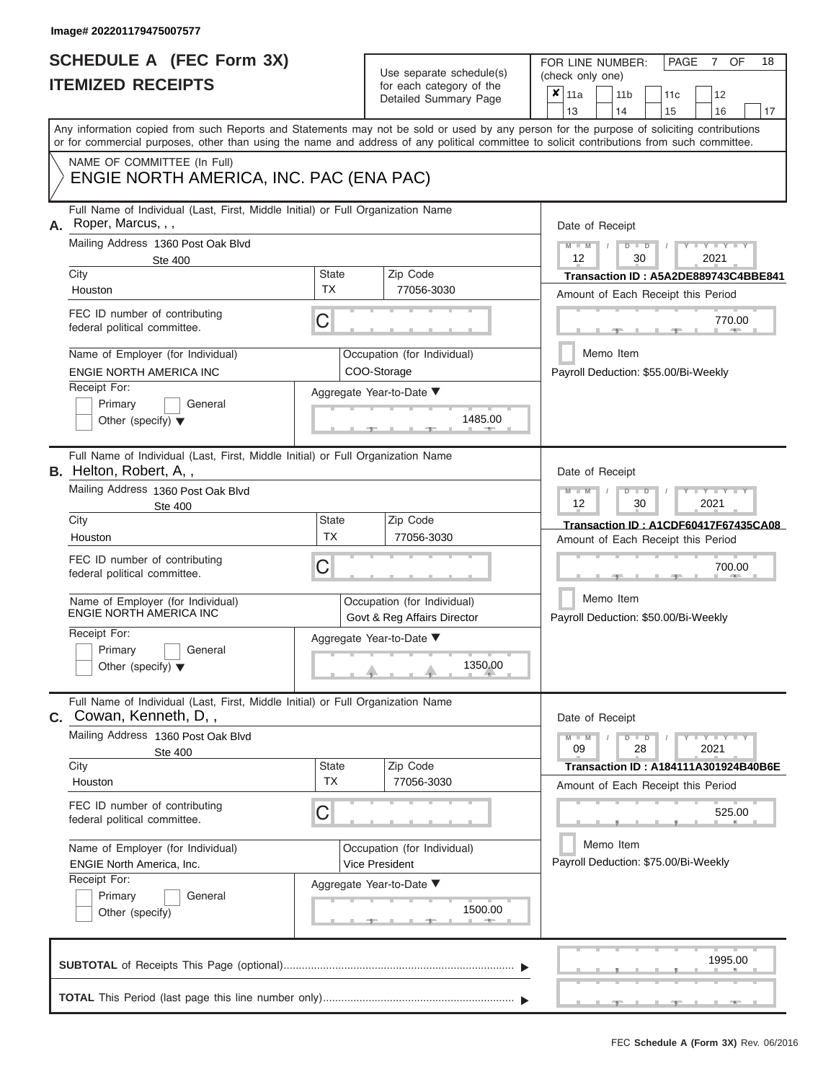Use separate schedule(s) for each category of the

FOR LINE NUMBER:<br>(check only one)

PAGE 7 OF 18

|    |                                                                                                                                                                                                                                                                                         |                           | Detailed Summary Page                                      | 11a                                                   |  | 11 <sub>b</sub> | 11c                                  | 12                                                                                |    |  |  |  |
|----|-----------------------------------------------------------------------------------------------------------------------------------------------------------------------------------------------------------------------------------------------------------------------------------------|---------------------------|------------------------------------------------------------|-------------------------------------------------------|--|-----------------|--------------------------------------|-----------------------------------------------------------------------------------|----|--|--|--|
|    | Any information copied from such Reports and Statements may not be sold or used by any person for the purpose of soliciting contributions<br>or for commercial purposes, other than using the name and address of any political committee to solicit contributions from such committee. |                           |                                                            | 13                                                    |  | 14              | 15                                   | 16                                                                                | 17 |  |  |  |
|    | NAME OF COMMITTEE (In Full)<br>ENGIE NORTH AMERICA, INC. PAC (ENA PAC)                                                                                                                                                                                                                  |                           |                                                            |                                                       |  |                 |                                      |                                                                                   |    |  |  |  |
| А. | Full Name of Individual (Last, First, Middle Initial) or Full Organization Name<br>Roper, Marcus, , ,                                                                                                                                                                                   |                           |                                                            | Date of Receipt                                       |  |                 |                                      |                                                                                   |    |  |  |  |
|    | Mailing Address 1360 Post Oak Blvd<br><b>Ste 400</b>                                                                                                                                                                                                                                    |                           |                                                            | $M - M$<br>$D$ $D$<br>$Y - Y - Y$<br>12<br>2021<br>30 |  |                 |                                      |                                                                                   |    |  |  |  |
|    | City<br>Houston                                                                                                                                                                                                                                                                         | <b>State</b><br><b>TX</b> | Zip Code<br>77056-3030                                     |                                                       |  |                 |                                      | Transaction ID: A5A2DE889743C4BBE841<br>Amount of Each Receipt this Period        |    |  |  |  |
|    | FEC ID number of contributing<br>federal political committee.                                                                                                                                                                                                                           | С                         |                                                            |                                                       |  |                 |                                      | 770.00                                                                            |    |  |  |  |
|    | Name of Employer (for Individual)<br>ENGIE NORTH AMERICA INC                                                                                                                                                                                                                            |                           | Occupation (for Individual)<br>COO-Storage                 |                                                       |  | Memo Item       | Payroll Deduction: \$55.00/Bi-Weekly |                                                                                   |    |  |  |  |
|    | Receipt For:<br>General<br>Primary<br>Other (specify) $\blacktriangledown$                                                                                                                                                                                                              |                           | Aggregate Year-to-Date ▼<br>1485.00                        |                                                       |  |                 |                                      |                                                                                   |    |  |  |  |
|    | Full Name of Individual (Last, First, Middle Initial) or Full Organization Name<br><b>B.</b> Helton, Robert, A,,                                                                                                                                                                        |                           |                                                            | Date of Receipt                                       |  |                 |                                      |                                                                                   |    |  |  |  |
|    | Mailing Address 1360 Post Oak Blvd<br><b>Ste 400</b>                                                                                                                                                                                                                                    |                           |                                                            | $M - M$<br>12                                         |  | $D$ $D$<br>30   |                                      | Y I Y I<br>2021                                                                   |    |  |  |  |
|    | City<br>Houston                                                                                                                                                                                                                                                                         | <b>State</b><br><b>TX</b> | Zip Code<br>77056-3030                                     |                                                       |  |                 |                                      | Transaction ID: A1CDF60417F67435CA08<br>Amount of Each Receipt this Period        |    |  |  |  |
|    | FEC ID number of contributing<br>federal political committee.                                                                                                                                                                                                                           | С                         |                                                            | 700.00                                                |  |                 |                                      |                                                                                   |    |  |  |  |
|    | Name of Employer (for Individual)<br>ENGIE NORTH AMERICA INC                                                                                                                                                                                                                            |                           | Occupation (for Individual)<br>Govt & Reg Affairs Director |                                                       |  | Memo Item       | Payroll Deduction: \$50.00/Bi-Weekly |                                                                                   |    |  |  |  |
|    | Receipt For:<br>Primary<br>General<br>Other (specify) $\blacktriangledown$                                                                                                                                                                                                              |                           | Aggregate Year-to-Date ▼<br>1350.00                        |                                                       |  |                 |                                      |                                                                                   |    |  |  |  |
|    | Full Name of Individual (Last, First, Middle Initial) or Full Organization Name<br><b>C.</b> Cowan, Kenneth, D,,                                                                                                                                                                        |                           |                                                            | Date of Receipt                                       |  |                 |                                      |                                                                                   |    |  |  |  |
|    | Mailing Address 1360 Post Oak Blvd<br><b>Ste 400</b>                                                                                                                                                                                                                                    |                           |                                                            | $M - M$<br>09                                         |  | $D$ $D$<br>28   |                                      | $Y - Y - Y - Y - Y$<br>2021                                                       |    |  |  |  |
|    | City<br>Houston                                                                                                                                                                                                                                                                         | <b>State</b><br><b>TX</b> | Zip Code<br>77056-3030                                     |                                                       |  |                 |                                      | <b>Transaction ID: A184111A301924B40B6E</b><br>Amount of Each Receipt this Period |    |  |  |  |
|    | FEC ID number of contributing<br>federal political committee.                                                                                                                                                                                                                           | С                         |                                                            |                                                       |  |                 |                                      | 525.00                                                                            |    |  |  |  |
|    | Name of Employer (for Individual)<br><b>ENGIE North America, Inc.</b>                                                                                                                                                                                                                   |                           | Occupation (for Individual)<br>Vice President              |                                                       |  | Memo Item       | Payroll Deduction: \$75.00/Bi-Weekly |                                                                                   |    |  |  |  |
|    | Receipt For:<br>Primary<br>General<br>Other (specify)                                                                                                                                                                                                                                   |                           | Aggregate Year-to-Date ▼<br>1500.00                        |                                                       |  |                 |                                      |                                                                                   |    |  |  |  |
|    |                                                                                                                                                                                                                                                                                         |                           |                                                            |                                                       |  |                 |                                      | 1995.00                                                                           |    |  |  |  |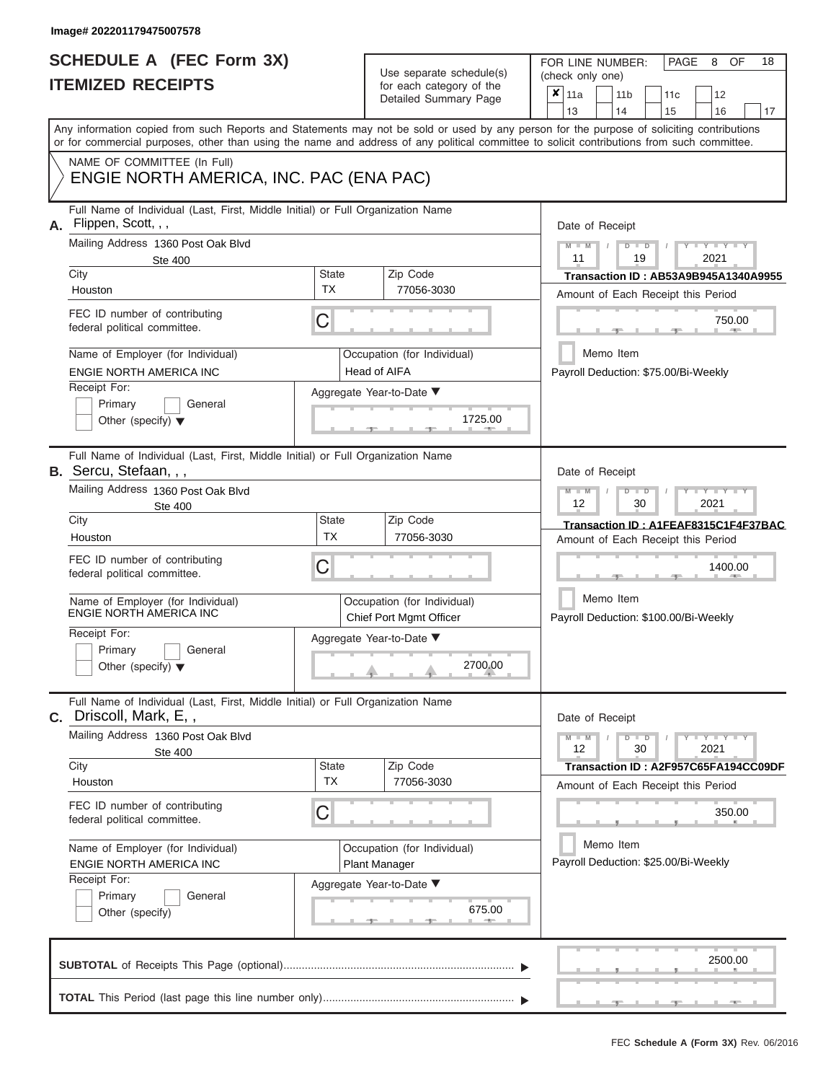## **SCHEDULE A (FEC Form 3X) ITEMIZED RECEIPTS**

Use separate schedule(s) for each category of the

FOR LINE NUMBER:<br>(check only one)

PAGE 8 OF 18

|                                                                                                                                                                                                                                                                                         |                    | ioi ouoii outogory oi tric<br>Detailed Summary Page    | ×                                                  | 11a                                                        |  | 11 <sub>b</sub> |               | 11 <sub>c</sub>                      | 12                                          |    |  |  |  |
|-----------------------------------------------------------------------------------------------------------------------------------------------------------------------------------------------------------------------------------------------------------------------------------------|--------------------|--------------------------------------------------------|----------------------------------------------------|------------------------------------------------------------|--|-----------------|---------------|--------------------------------------|---------------------------------------------|----|--|--|--|
|                                                                                                                                                                                                                                                                                         |                    |                                                        |                                                    | 13                                                         |  | 14              |               | 15                                   | 16                                          | 17 |  |  |  |
| Any information copied from such Reports and Statements may not be sold or used by any person for the purpose of soliciting contributions<br>or for commercial purposes, other than using the name and address of any political committee to solicit contributions from such committee. |                    |                                                        |                                                    |                                                            |  |                 |               |                                      |                                             |    |  |  |  |
| NAME OF COMMITTEE (In Full)                                                                                                                                                                                                                                                             |                    |                                                        |                                                    |                                                            |  |                 |               |                                      |                                             |    |  |  |  |
| ENGIE NORTH AMERICA, INC. PAC (ENA PAC)                                                                                                                                                                                                                                                 |                    |                                                        |                                                    |                                                            |  |                 |               |                                      |                                             |    |  |  |  |
| Full Name of Individual (Last, First, Middle Initial) or Full Organization Name<br>Flippen, Scott, , ,<br>А.                                                                                                                                                                            |                    |                                                        |                                                    | Date of Receipt                                            |  |                 |               |                                      |                                             |    |  |  |  |
| Mailing Address 1360 Post Oak Blvd<br><b>Ste 400</b>                                                                                                                                                                                                                                    |                    |                                                        |                                                    | $M$ $-M$ $/$<br>$D$ $D$<br>$Y - Y - Y$<br>11<br>19<br>2021 |  |                 |               |                                      |                                             |    |  |  |  |
| City                                                                                                                                                                                                                                                                                    | <b>State</b><br>TX | Zip Code                                               |                                                    |                                                            |  |                 |               |                                      | <b>Transaction ID: AB53A9B945A1340A9955</b> |    |  |  |  |
| Houston                                                                                                                                                                                                                                                                                 |                    | 77056-3030                                             |                                                    | Amount of Each Receipt this Period                         |  |                 |               |                                      |                                             |    |  |  |  |
| FEC ID number of contributing<br>federal political committee.                                                                                                                                                                                                                           | С                  |                                                        |                                                    |                                                            |  |                 |               |                                      | 750.00<br><b>British Allen</b>              |    |  |  |  |
| Name of Employer (for Individual)<br>ENGIE NORTH AMERICA INC                                                                                                                                                                                                                            |                    | Occupation (for Individual)<br><b>Head of AIFA</b>     |                                                    |                                                            |  | Memo Item       |               | Payroll Deduction: \$75.00/Bi-Weekly |                                             |    |  |  |  |
| Receipt For:                                                                                                                                                                                                                                                                            |                    | Aggregate Year-to-Date ▼                               |                                                    |                                                            |  |                 |               |                                      |                                             |    |  |  |  |
| Primary<br>General<br>Other (specify) $\blacktriangledown$                                                                                                                                                                                                                              |                    | 1725.00                                                |                                                    |                                                            |  |                 |               |                                      |                                             |    |  |  |  |
| Full Name of Individual (Last, First, Middle Initial) or Full Organization Name<br><b>B.</b> Sercu, Stefaan, , ,                                                                                                                                                                        |                    |                                                        |                                                    | Date of Receipt                                            |  |                 |               |                                      |                                             |    |  |  |  |
| Mailing Address 1360 Post Oak Blvd<br>Ste 400                                                                                                                                                                                                                                           |                    |                                                        |                                                    | $M - M$<br>12                                              |  |                 | $D$ $D$<br>30 |                                      | Y Y Y<br>2021                               |    |  |  |  |
| City                                                                                                                                                                                                                                                                                    | State              | Zip Code                                               |                                                    |                                                            |  |                 |               |                                      | Transaction ID: A1FEAF8315C1F4F37BAC        |    |  |  |  |
| Houston                                                                                                                                                                                                                                                                                 | <b>TX</b>          | 77056-3030                                             |                                                    |                                                            |  |                 |               |                                      | Amount of Each Receipt this Period          |    |  |  |  |
| FEC ID number of contributing<br>federal political committee.                                                                                                                                                                                                                           | С                  |                                                        |                                                    | 1400.00                                                    |  |                 |               |                                      |                                             |    |  |  |  |
| Name of Employer (for Individual)<br>ENGIE NORTH AMERICA INC                                                                                                                                                                                                                            |                    | Occupation (for Individual)<br>Chief Port Mgmt Officer | Memo Item<br>Payroll Deduction: \$100.00/Bi-Weekly |                                                            |  |                 |               |                                      |                                             |    |  |  |  |
| Receipt For:<br>Primary<br>General<br>Other (specify) $\blacktriangledown$                                                                                                                                                                                                              |                    | Aggregate Year-to-Date ▼<br>2700.00                    |                                                    |                                                            |  |                 |               |                                      |                                             |    |  |  |  |
|                                                                                                                                                                                                                                                                                         |                    |                                                        |                                                    |                                                            |  |                 |               |                                      |                                             |    |  |  |  |
| Full Name of Individual (Last, First, Middle Initial) or Full Organization Name<br>Driscoll, Mark, E,,<br>С.                                                                                                                                                                            |                    |                                                        |                                                    | Date of Receipt                                            |  |                 |               |                                      |                                             |    |  |  |  |
| Mailing Address 1360 Post Oak Blvd                                                                                                                                                                                                                                                      |                    |                                                        |                                                    | $M - M$<br>12                                              |  |                 | $D$ $D$<br>30 |                                      | $T - Y = T - Y = T - Y$<br>2021             |    |  |  |  |
| Ste 400<br>City                                                                                                                                                                                                                                                                         | <b>State</b>       | Zip Code                                               |                                                    |                                                            |  |                 |               |                                      | Transaction ID: A2F957C65FA194CC09DF        |    |  |  |  |
| Houston                                                                                                                                                                                                                                                                                 | <b>TX</b>          | 77056-3030                                             |                                                    |                                                            |  |                 |               |                                      | Amount of Each Receipt this Period          |    |  |  |  |
| FEC ID number of contributing<br>federal political committee.                                                                                                                                                                                                                           | С                  |                                                        |                                                    |                                                            |  |                 |               |                                      | 350.00                                      |    |  |  |  |
| Name of Employer (for Individual)                                                                                                                                                                                                                                                       |                    | Occupation (for Individual)                            |                                                    |                                                            |  | Memo Item       |               |                                      |                                             |    |  |  |  |
| ENGIE NORTH AMERICA INC<br>Receipt For:                                                                                                                                                                                                                                                 |                    | Plant Manager                                          |                                                    |                                                            |  |                 |               | Payroll Deduction: \$25.00/Bi-Weekly |                                             |    |  |  |  |
| Primary<br>General                                                                                                                                                                                                                                                                      |                    | Aggregate Year-to-Date ▼                               |                                                    |                                                            |  |                 |               |                                      |                                             |    |  |  |  |
| Other (specify)                                                                                                                                                                                                                                                                         |                    | 675.00<br>-91                                          |                                                    |                                                            |  |                 |               |                                      |                                             |    |  |  |  |
|                                                                                                                                                                                                                                                                                         |                    |                                                        |                                                    |                                                            |  |                 |               |                                      | 2500.00                                     |    |  |  |  |
|                                                                                                                                                                                                                                                                                         |                    |                                                        |                                                    |                                                            |  |                 |               |                                      |                                             |    |  |  |  |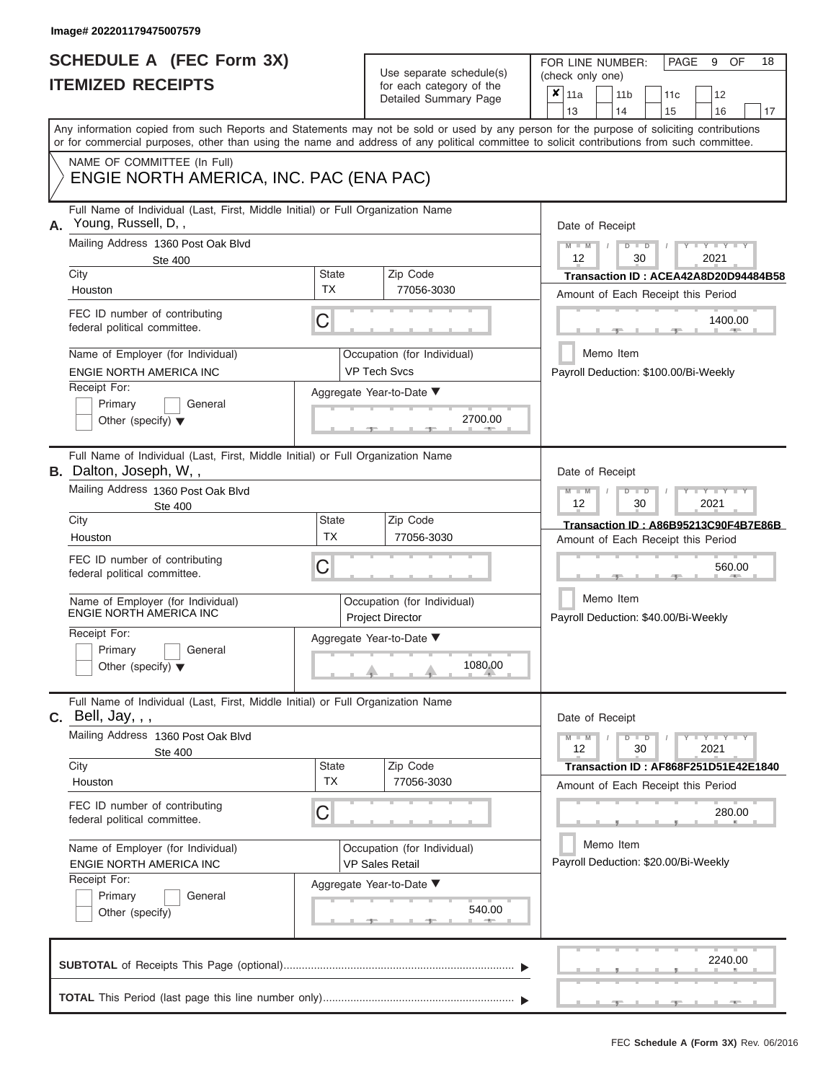## **SCHEDULE A (FEC Form 3X) ITEMIZED RECEIPTS**

Use separate schedule(s) (check only one) for each category of the

FOR LINE NUMBER:<br>(check only one)

PAGE 9 OF 18

| Any information copied from such Reports and Statements may not be sold or used by any person for the purpose of soliciting contributions<br>or for commercial purposes, other than using the name and address of any political committee to solicit contributions from such committee.<br>NAME OF COMMITTEE (In Full)<br>ENGIE NORTH AMERICA, INC. PAC (ENA PAC)<br>Full Name of Individual (Last, First, Middle Initial) or Full Organization Name<br>Young, Russell, D,,<br>Mailing Address 1360 Post Oak Blvd<br>$-M$<br>12<br><b>Ste 400</b><br><b>State</b><br>Zip Code<br>City<br>TX<br>77056-3030<br>Houston<br>FEC ID number of contributing<br>C<br>federal political committee.<br>Name of Employer (for Individual)<br>Occupation (for Individual)<br><b>VP Tech Svcs</b><br>ENGIE NORTH AMERICA INC<br>Receipt For:<br>Aggregate Year-to-Date ▼<br>Primary<br>General | 17<br>14<br>15<br>16                                                       |  |  |  |  |  |  |  |
|------------------------------------------------------------------------------------------------------------------------------------------------------------------------------------------------------------------------------------------------------------------------------------------------------------------------------------------------------------------------------------------------------------------------------------------------------------------------------------------------------------------------------------------------------------------------------------------------------------------------------------------------------------------------------------------------------------------------------------------------------------------------------------------------------------------------------------------------------------------------------------|----------------------------------------------------------------------------|--|--|--|--|--|--|--|
| А.                                                                                                                                                                                                                                                                                                                                                                                                                                                                                                                                                                                                                                                                                                                                                                                                                                                                                 |                                                                            |  |  |  |  |  |  |  |
|                                                                                                                                                                                                                                                                                                                                                                                                                                                                                                                                                                                                                                                                                                                                                                                                                                                                                    |                                                                            |  |  |  |  |  |  |  |
|                                                                                                                                                                                                                                                                                                                                                                                                                                                                                                                                                                                                                                                                                                                                                                                                                                                                                    | Date of Receipt<br>$Y = Y$<br>ъ<br>$\overline{D}$                          |  |  |  |  |  |  |  |
|                                                                                                                                                                                                                                                                                                                                                                                                                                                                                                                                                                                                                                                                                                                                                                                                                                                                                    | 2021<br>30                                                                 |  |  |  |  |  |  |  |
|                                                                                                                                                                                                                                                                                                                                                                                                                                                                                                                                                                                                                                                                                                                                                                                                                                                                                    | Transaction ID: ACEA42A8D20D94484B58                                       |  |  |  |  |  |  |  |
|                                                                                                                                                                                                                                                                                                                                                                                                                                                                                                                                                                                                                                                                                                                                                                                                                                                                                    | Amount of Each Receipt this Period<br>1400.00                              |  |  |  |  |  |  |  |
|                                                                                                                                                                                                                                                                                                                                                                                                                                                                                                                                                                                                                                                                                                                                                                                                                                                                                    | Memo Item<br>Payroll Deduction: \$100.00/Bi-Weekly                         |  |  |  |  |  |  |  |
| 2700.00<br>Other (specify) $\blacktriangledown$                                                                                                                                                                                                                                                                                                                                                                                                                                                                                                                                                                                                                                                                                                                                                                                                                                    |                                                                            |  |  |  |  |  |  |  |
| Full Name of Individual (Last, First, Middle Initial) or Full Organization Name<br><b>B.</b> Dalton, Joseph, W,,                                                                                                                                                                                                                                                                                                                                                                                                                                                                                                                                                                                                                                                                                                                                                                   | Date of Receipt                                                            |  |  |  |  |  |  |  |
| Mailing Address 1360 Post Oak Blvd<br>$M - M$<br>12<br><b>Ste 400</b>                                                                                                                                                                                                                                                                                                                                                                                                                                                                                                                                                                                                                                                                                                                                                                                                              | $-Y - Y - Y - Y$<br>т<br>D<br>30<br>2021                                   |  |  |  |  |  |  |  |
| Zip Code<br>City<br>State<br><b>TX</b><br>77056-3030<br>Houston                                                                                                                                                                                                                                                                                                                                                                                                                                                                                                                                                                                                                                                                                                                                                                                                                    | Transaction ID: A86B95213C90F4B7E86B<br>Amount of Each Receipt this Period |  |  |  |  |  |  |  |
| FEC ID number of contributing<br>C<br>federal political committee.                                                                                                                                                                                                                                                                                                                                                                                                                                                                                                                                                                                                                                                                                                                                                                                                                 | 560.00                                                                     |  |  |  |  |  |  |  |
| Name of Employer (for Individual)<br>Occupation (for Individual)<br>ENGIE NORTH AMERICA INC<br><b>Project Director</b>                                                                                                                                                                                                                                                                                                                                                                                                                                                                                                                                                                                                                                                                                                                                                             | Memo Item<br>Payroll Deduction: \$40.00/Bi-Weekly                          |  |  |  |  |  |  |  |
| Receipt For:<br>Aggregate Year-to-Date ▼<br>Primary<br>General<br>1080.00<br>Other (specify) $\blacktriangledown$                                                                                                                                                                                                                                                                                                                                                                                                                                                                                                                                                                                                                                                                                                                                                                  |                                                                            |  |  |  |  |  |  |  |
| Full Name of Individual (Last, First, Middle Initial) or Full Organization Name<br><b>c.</b> Bell, Jay, , ,<br>Date of Receipt                                                                                                                                                                                                                                                                                                                                                                                                                                                                                                                                                                                                                                                                                                                                                     |                                                                            |  |  |  |  |  |  |  |
| Mailing Address 1360 Post Oak Blvd<br>$M - M$<br>12<br><b>Ste 400</b>                                                                                                                                                                                                                                                                                                                                                                                                                                                                                                                                                                                                                                                                                                                                                                                                              | $Y = Y = Y$<br>$\blacksquare$<br>30<br>2021                                |  |  |  |  |  |  |  |
| <b>State</b><br>Zip Code<br>City<br>TX<br>77056-3030<br>Houston                                                                                                                                                                                                                                                                                                                                                                                                                                                                                                                                                                                                                                                                                                                                                                                                                    | Transaction ID: AF868F251D51E42E1840<br>Amount of Each Receipt this Period |  |  |  |  |  |  |  |
| FEC ID number of contributing<br>C<br>federal political committee.                                                                                                                                                                                                                                                                                                                                                                                                                                                                                                                                                                                                                                                                                                                                                                                                                 | 280.00                                                                     |  |  |  |  |  |  |  |
| Name of Employer (for Individual)<br>Occupation (for Individual)<br><b>VP Sales Retail</b><br>ENGIE NORTH AMERICA INC                                                                                                                                                                                                                                                                                                                                                                                                                                                                                                                                                                                                                                                                                                                                                              | Memo Item<br>Payroll Deduction: \$20.00/Bi-Weekly                          |  |  |  |  |  |  |  |
| Receipt For:<br>Aggregate Year-to-Date ▼<br>Primary<br>General<br>540.00<br>Other (specify)                                                                                                                                                                                                                                                                                                                                                                                                                                                                                                                                                                                                                                                                                                                                                                                        |                                                                            |  |  |  |  |  |  |  |
|                                                                                                                                                                                                                                                                                                                                                                                                                                                                                                                                                                                                                                                                                                                                                                                                                                                                                    |                                                                            |  |  |  |  |  |  |  |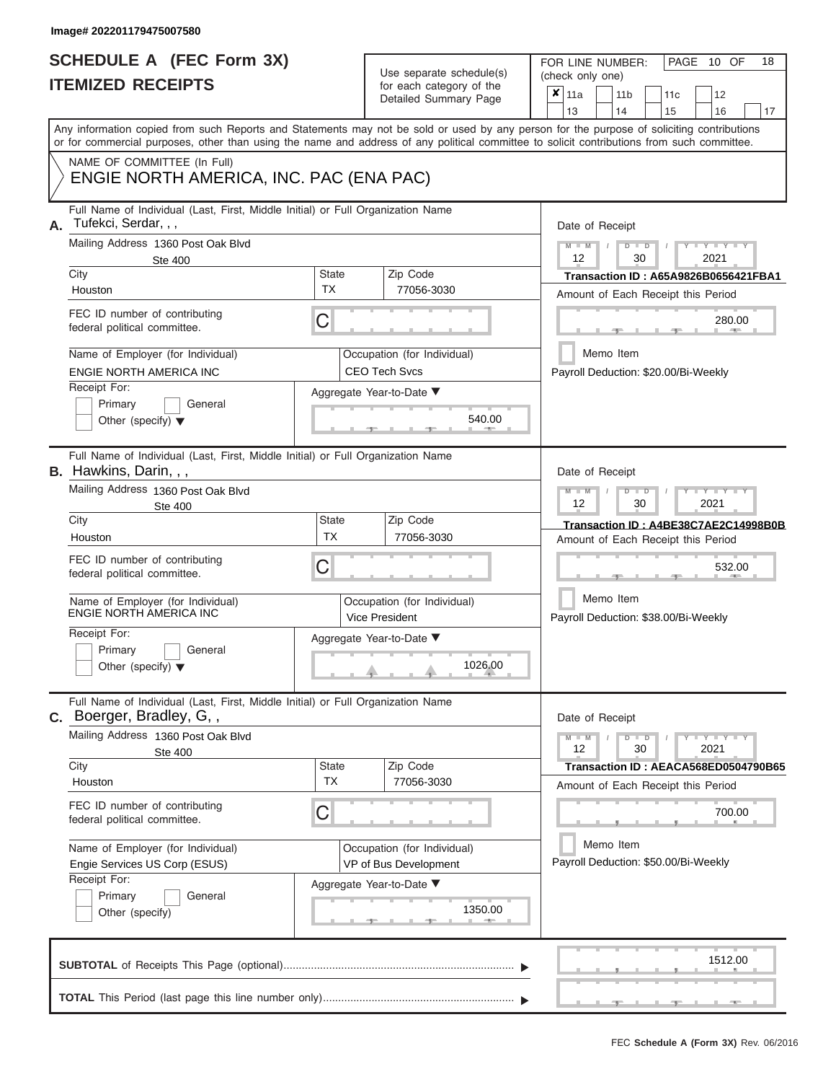| Use separate schedule(s) |
|--------------------------|
| for each category of the |
| Detailed Summary Page    |

FOR LINE NUMBER: (check only one)

PAGE 10 OF 18

| NAME OF COMMITTEE (In Full)<br>ENGIE NORTH AMERICA, INC. PAC (ENA PAC)<br>Full Name of Individual (Last, First, Middle Initial) or Full Organization Name<br>Tufekci, Serdar, , ,<br>А. |                                                   |                                                      | 13<br>14<br>15<br>16<br>Any information copied from such Reports and Statements may not be sold or used by any person for the purpose of soliciting contributions<br>or for commercial purposes, other than using the name and address of any political committee to solicit contributions from such committee. |  |  |  |  |  |  |  |  |  |
|-----------------------------------------------------------------------------------------------------------------------------------------------------------------------------------------|---------------------------------------------------|------------------------------------------------------|-----------------------------------------------------------------------------------------------------------------------------------------------------------------------------------------------------------------------------------------------------------------------------------------------------------------|--|--|--|--|--|--|--|--|--|
|                                                                                                                                                                                         |                                                   |                                                      |                                                                                                                                                                                                                                                                                                                 |  |  |  |  |  |  |  |  |  |
|                                                                                                                                                                                         |                                                   |                                                      |                                                                                                                                                                                                                                                                                                                 |  |  |  |  |  |  |  |  |  |
|                                                                                                                                                                                         |                                                   |                                                      | Date of Receipt                                                                                                                                                                                                                                                                                                 |  |  |  |  |  |  |  |  |  |
| Mailing Address 1360 Post Oak Blvd<br>Ste 400                                                                                                                                           | $M - M$<br>$D$ $D$<br>Y L Y L<br>12<br>30<br>2021 |                                                      |                                                                                                                                                                                                                                                                                                                 |  |  |  |  |  |  |  |  |  |
| City<br>Houston                                                                                                                                                                         | State<br><b>TX</b>                                | Zip Code<br>77056-3030                               | <b>Transaction ID: A65A9826B0656421FBA1</b><br>Amount of Each Receipt this Period                                                                                                                                                                                                                               |  |  |  |  |  |  |  |  |  |
| FEC ID number of contributing<br>federal political committee.                                                                                                                           | C                                                 |                                                      | 280.00<br><b>AND</b>                                                                                                                                                                                                                                                                                            |  |  |  |  |  |  |  |  |  |
| Name of Employer (for Individual)<br>ENGIE NORTH AMERICA INC                                                                                                                            |                                                   | Occupation (for Individual)<br><b>CEO Tech Svcs</b>  | Memo Item<br>Payroll Deduction: \$20.00/Bi-Weekly                                                                                                                                                                                                                                                               |  |  |  |  |  |  |  |  |  |
| Receipt For:<br>Primary<br>General<br>Other (specify) $\blacktriangledown$                                                                                                              |                                                   | Aggregate Year-to-Date ▼<br>540.00                   |                                                                                                                                                                                                                                                                                                                 |  |  |  |  |  |  |  |  |  |
| Full Name of Individual (Last, First, Middle Initial) or Full Organization Name<br><b>B.</b> Hawkins, Darin, , ,                                                                        |                                                   |                                                      | Date of Receipt                                                                                                                                                                                                                                                                                                 |  |  |  |  |  |  |  |  |  |
| Mailing Address 1360 Post Oak Blvd<br><b>Ste 400</b>                                                                                                                                    |                                                   |                                                      | $M - M$<br>$D$ $D$<br><b>TEXT</b><br>12<br>30<br>2021<br>Transaction ID: A4BE38C7AE2C14998B0B<br>Amount of Each Receipt this Period                                                                                                                                                                             |  |  |  |  |  |  |  |  |  |
| City<br>Houston                                                                                                                                                                         | <b>State</b><br><b>TX</b>                         | Zip Code<br>77056-3030                               |                                                                                                                                                                                                                                                                                                                 |  |  |  |  |  |  |  |  |  |
| FEC ID number of contributing<br>federal political committee.                                                                                                                           | C                                                 |                                                      | 532.00                                                                                                                                                                                                                                                                                                          |  |  |  |  |  |  |  |  |  |
| Name of Employer (for Individual)<br><b>ENGIE NORTH AMERICA INC</b>                                                                                                                     |                                                   | Occupation (for Individual)<br><b>Vice President</b> | Memo Item<br>Payroll Deduction: \$38.00/Bi-Weekly                                                                                                                                                                                                                                                               |  |  |  |  |  |  |  |  |  |
| Receipt For:<br>Primary<br>General<br>Other (specify) $\blacktriangledown$                                                                                                              |                                                   | Aggregate Year-to-Date ▼<br>1026.00                  |                                                                                                                                                                                                                                                                                                                 |  |  |  |  |  |  |  |  |  |
| Full Name of Individual (Last, First, Middle Initial) or Full Organization Name<br>C. Boerger, Bradley, G,,                                                                             |                                                   |                                                      | Date of Receipt                                                                                                                                                                                                                                                                                                 |  |  |  |  |  |  |  |  |  |
| Mailing Address 1360 Post Oak Blvd<br>Ste 400<br>City                                                                                                                                   | <b>State</b>                                      | Zip Code                                             | $M - M$<br>$+Y+Y+Y$<br>$D$ $D$<br>2021<br>12<br>30<br>Transaction ID: AEACA568ED0504790B65                                                                                                                                                                                                                      |  |  |  |  |  |  |  |  |  |
| Houston                                                                                                                                                                                 | <b>TX</b>                                         | 77056-3030                                           | Amount of Each Receipt this Period                                                                                                                                                                                                                                                                              |  |  |  |  |  |  |  |  |  |
| FEC ID number of contributing<br>federal political committee.                                                                                                                           | C                                                 |                                                      | 700.00                                                                                                                                                                                                                                                                                                          |  |  |  |  |  |  |  |  |  |
| Name of Employer (for Individual)<br>Engie Services US Corp (ESUS)<br>Receipt For:                                                                                                      | Memo Item<br>Payroll Deduction: \$50.00/Bi-Weekly |                                                      |                                                                                                                                                                                                                                                                                                                 |  |  |  |  |  |  |  |  |  |
| Primary<br>General<br>Other (specify)                                                                                                                                                   |                                                   | Aggregate Year-to-Date ▼<br>1350.00                  |                                                                                                                                                                                                                                                                                                                 |  |  |  |  |  |  |  |  |  |
|                                                                                                                                                                                         |                                                   |                                                      | 1512.00                                                                                                                                                                                                                                                                                                         |  |  |  |  |  |  |  |  |  |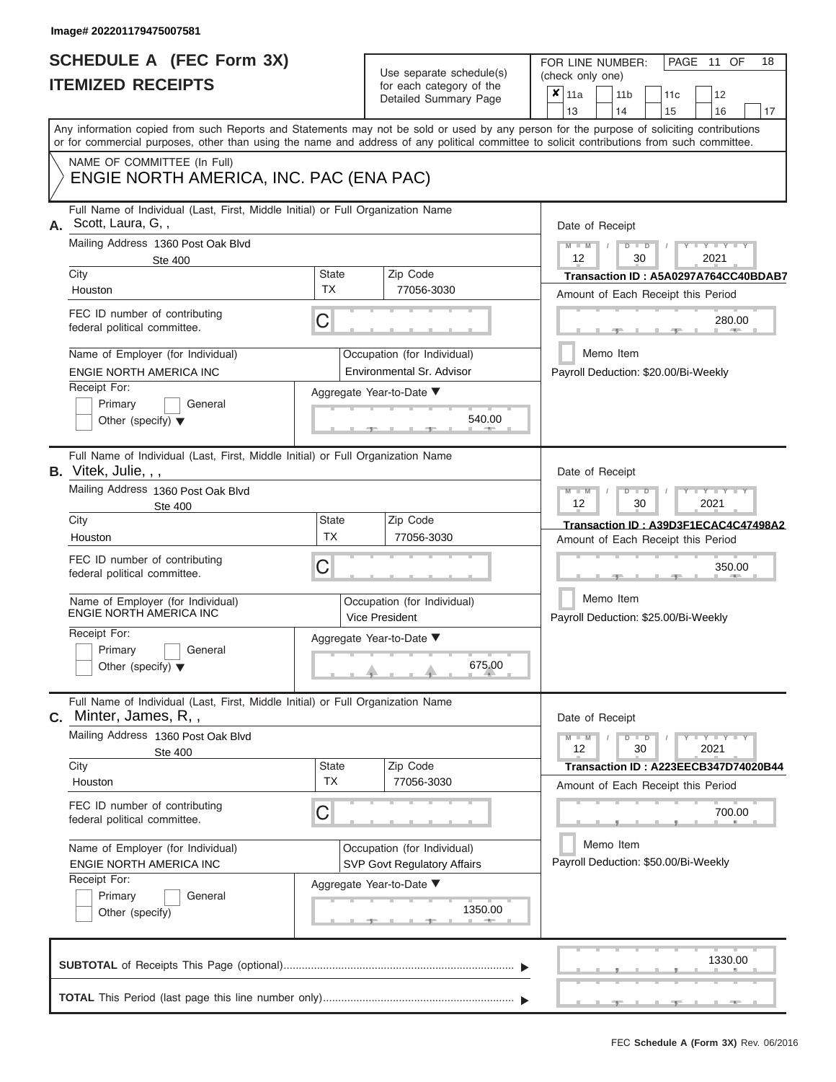## **SCHEDULE A (FEC Form 3X) ITEMIZED RECEIPTS**

Use separate schedule(s) for each category of the

FOR LINE NUMBER:<br>(check only one)

PAGE 11 OF 18

|                                                                                                                                                                                                                      |                                                                   | ivi vavii valvyviy vi liiv<br>Detailed Summary Page      | ×                | 11a                                                                        |           | 11 <sub>b</sub> |                                              | 11 <sub>c</sub>                      | 12                                                                         |    |  |  |  |
|----------------------------------------------------------------------------------------------------------------------------------------------------------------------------------------------------------------------|-------------------------------------------------------------------|----------------------------------------------------------|------------------|----------------------------------------------------------------------------|-----------|-----------------|----------------------------------------------|--------------------------------------|----------------------------------------------------------------------------|----|--|--|--|
| Any information copied from such Reports and Statements may not be sold or used by any person for the purpose of soliciting contributions                                                                            |                                                                   |                                                          |                  | 13                                                                         |           | 14              |                                              | 15                                   | 16                                                                         | 17 |  |  |  |
| or for commercial purposes, other than using the name and address of any political committee to solicit contributions from such committee.<br>NAME OF COMMITTEE (In Full)<br>ENGIE NORTH AMERICA, INC. PAC (ENA PAC) |                                                                   |                                                          |                  |                                                                            |           |                 |                                              |                                      |                                                                            |    |  |  |  |
| Full Name of Individual (Last, First, Middle Initial) or Full Organization Name<br>Scott, Laura, G,,<br>А.<br>Mailing Address 1360 Post Oak Blvd                                                                     |                                                                   | Date of Receipt<br>$M - M$ /                             |                  |                                                                            | $D$ $D$   |                 | $Y - Y - Y$                                  |                                      |                                                                            |    |  |  |  |
| <b>Ste 400</b><br>City                                                                                                                                                                                               | <b>State</b>                                                      | Zip Code                                                 | 12<br>30<br>2021 |                                                                            |           |                 |                                              |                                      |                                                                            |    |  |  |  |
| Houston                                                                                                                                                                                                              | <b>TX</b>                                                         | 77056-3030                                               |                  | Transaction ID: A5A0297A764CC40BDAB7<br>Amount of Each Receipt this Period |           |                 |                                              |                                      |                                                                            |    |  |  |  |
| FEC ID number of contributing<br>federal political committee.                                                                                                                                                        | С                                                                 |                                                          |                  |                                                                            |           |                 |                                              |                                      | 280.00<br><b>CONTRACTOR</b>                                                |    |  |  |  |
| Name of Employer (for Individual)<br>ENGIE NORTH AMERICA INC                                                                                                                                                         |                                                                   | Occupation (for Individual)<br>Environmental Sr. Advisor |                  |                                                                            |           | Memo Item       |                                              |                                      | Payroll Deduction: \$20.00/Bi-Weekly                                       |    |  |  |  |
| Receipt For:<br>Primary<br>General<br>Other (specify) $\blacktriangledown$                                                                                                                                           |                                                                   | Aggregate Year-to-Date ▼<br>540.00<br>-91                |                  |                                                                            |           |                 |                                              |                                      |                                                                            |    |  |  |  |
| Full Name of Individual (Last, First, Middle Initial) or Full Organization Name<br>B. Vitek, Julie, , ,                                                                                                              |                                                                   |                                                          |                  | Date of Receipt                                                            |           |                 |                                              |                                      |                                                                            |    |  |  |  |
| Mailing Address 1360 Post Oak Blvd<br>Ste 400                                                                                                                                                                        |                                                                   |                                                          |                  | $M - M$<br>12                                                              |           |                 | $D$ $\Box$ $D$<br>30                         |                                      | $\Box$ $\Upsilon$ $\Box$ $\Upsilon$ $\Box$<br>2021                         |    |  |  |  |
| City<br>Houston                                                                                                                                                                                                      | State<br><b>TX</b>                                                | Zip Code<br>77056-3030                                   |                  |                                                                            |           |                 |                                              |                                      | Transaction ID: A39D3F1ECAC4C47498A2                                       |    |  |  |  |
| FEC ID number of contributing<br>federal political committee.                                                                                                                                                        | С                                                                 |                                                          |                  |                                                                            |           |                 | Amount of Each Receipt this Period<br>350.00 |                                      |                                                                            |    |  |  |  |
| Name of Employer (for Individual)<br>ENGIE NORTH AMERICA INC                                                                                                                                                         |                                                                   | Occupation (for Individual)<br><b>Vice President</b>     |                  |                                                                            |           | Memo Item       |                                              |                                      | Payroll Deduction: \$25.00/Bi-Weekly                                       |    |  |  |  |
| Receipt For:<br>Primary<br>General<br>Other (specify) $\blacktriangledown$                                                                                                                                           |                                                                   | Aggregate Year-to-Date ▼<br>675.00                       |                  |                                                                            |           |                 |                                              |                                      |                                                                            |    |  |  |  |
| Full Name of Individual (Last, First, Middle Initial) or Full Organization Name<br>Minter, James, R,,<br>С.                                                                                                          |                                                                   |                                                          |                  | Date of Receipt                                                            |           |                 |                                              |                                      |                                                                            |    |  |  |  |
| Mailing Address 1360 Post Oak Blvd<br>Ste 400                                                                                                                                                                        |                                                                   |                                                          |                  | $M - M$<br>12                                                              |           |                 | $D$ $D$<br>30                                |                                      | $  Y$ $  Y$ $  Y$<br>2021                                                  |    |  |  |  |
| City<br>Houston                                                                                                                                                                                                      | <b>State</b><br><b>TX</b>                                         | Zip Code<br>77056-3030                                   |                  |                                                                            |           |                 |                                              |                                      | Transaction ID: A223EECB347D74020B44<br>Amount of Each Receipt this Period |    |  |  |  |
| FEC ID number of contributing<br>federal political committee.                                                                                                                                                        | С                                                                 |                                                          |                  |                                                                            |           |                 |                                              |                                      | 700.00                                                                     |    |  |  |  |
| Name of Employer (for Individual)<br>ENGIE NORTH AMERICA INC<br>Receipt For:                                                                                                                                         | Occupation (for Individual)<br><b>SVP Govt Regulatory Affairs</b> |                                                          |                  |                                                                            | Memo Item |                 |                                              | Payroll Deduction: \$50.00/Bi-Weekly |                                                                            |    |  |  |  |
| Primary<br>General<br>Other (specify)                                                                                                                                                                                |                                                                   | Aggregate Year-to-Date ▼<br>1350.00                      |                  |                                                                            |           |                 |                                              |                                      |                                                                            |    |  |  |  |
|                                                                                                                                                                                                                      |                                                                   |                                                          |                  |                                                                            |           |                 |                                              |                                      | 1330.00                                                                    |    |  |  |  |
|                                                                                                                                                                                                                      |                                                                   |                                                          |                  |                                                                            |           |                 |                                              |                                      |                                                                            |    |  |  |  |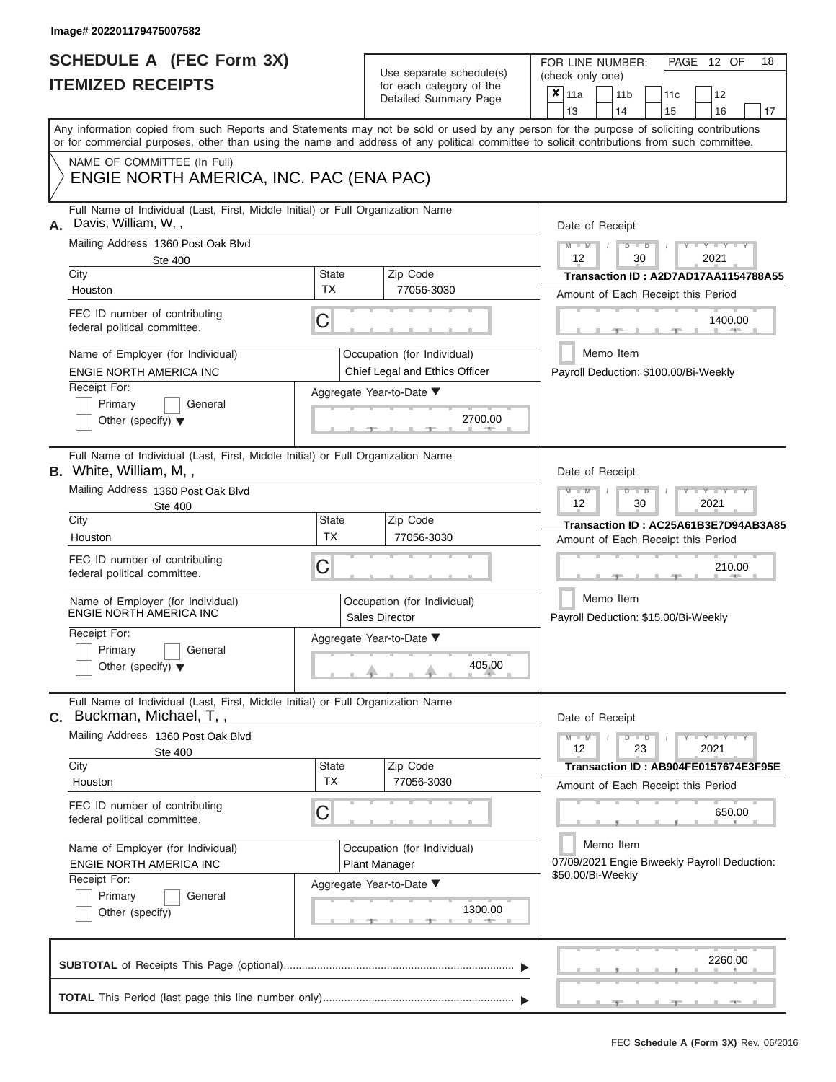| SCHEDULE A (FEC Form 3X)<br><b>ITEMIZED RECEIPTS</b>                                                                                                                                                                 |                           | Use separate schedule(s)<br>for each category of the<br>Detailed Summary Page | 18<br>FOR LINE NUMBER:<br>PAGE 12 OF<br>(check only one)<br>$\boldsymbol{x}$<br>11a<br>11 <sub>b</sub><br>11c<br>12<br>13<br>15<br>14<br>16<br>17 |
|----------------------------------------------------------------------------------------------------------------------------------------------------------------------------------------------------------------------|---------------------------|-------------------------------------------------------------------------------|---------------------------------------------------------------------------------------------------------------------------------------------------|
| or for commercial purposes, other than using the name and address of any political committee to solicit contributions from such committee.<br>NAME OF COMMITTEE (In Full)<br>ENGIE NORTH AMERICA, INC. PAC (ENA PAC) |                           |                                                                               | Any information copied from such Reports and Statements may not be sold or used by any person for the purpose of soliciting contributions         |
| Full Name of Individual (Last, First, Middle Initial) or Full Organization Name<br>Davis, William, W,,<br>А.                                                                                                         |                           |                                                                               | Date of Receipt                                                                                                                                   |
| Mailing Address 1360 Post Oak Blvd<br><b>Ste 400</b>                                                                                                                                                                 |                           |                                                                               | $M - M$<br>$D$ $D$<br>$Y = Y + Y$<br>$\sqrt{ }$<br>12<br>30<br>2021                                                                               |
| City<br>Houston                                                                                                                                                                                                      | <b>State</b><br>TX        | Zip Code<br>77056-3030                                                        | Transaction ID: A2D7AD17AA1154788A55<br>Amount of Each Receipt this Period                                                                        |
| FEC ID number of contributing<br>federal political committee.                                                                                                                                                        | C                         |                                                                               | 1400.00<br>$\mathbb{R}$ and $\mathbb{R}$ and $\mathbb{R}$                                                                                         |
| Name of Employer (for Individual)                                                                                                                                                                                    |                           | Occupation (for Individual)                                                   | Memo Item                                                                                                                                         |
| <b>ENGIE NORTH AMERICA INC</b>                                                                                                                                                                                       |                           | Chief Legal and Ethics Officer                                                | Payroll Deduction: \$100.00/Bi-Weekly                                                                                                             |
| Receipt For:<br>Primary<br>General<br>Other (specify) $\blacktriangledown$                                                                                                                                           |                           | Aggregate Year-to-Date ▼<br>2700.00                                           |                                                                                                                                                   |
| Full Name of Individual (Last, First, Middle Initial) or Full Organization Name<br>B. White, William, M,,                                                                                                            |                           |                                                                               | Date of Receipt                                                                                                                                   |
| Mailing Address 1360 Post Oak Blvd                                                                                                                                                                                   |                           |                                                                               | $M$ $M$<br>$D$ $\Box$ $D$<br>Y TY<br>12<br>2021<br>30                                                                                             |
| Ste 400<br>City                                                                                                                                                                                                      | State                     | Zip Code                                                                      | Transaction ID: AC25A61B3E7D94AB3A85                                                                                                              |
| Houston                                                                                                                                                                                                              | <b>TX</b>                 | 77056-3030                                                                    | Amount of Each Receipt this Period                                                                                                                |
| FEC ID number of contributing<br>federal political committee.                                                                                                                                                        | С                         |                                                                               | 210.00                                                                                                                                            |
| Name of Employer (for Individual)<br>ENGIE NORTH AMERICA INC                                                                                                                                                         |                           | Occupation (for Individual)<br>Sales Director                                 | Memo Item<br>Payroll Deduction: \$15.00/Bi-Weekly                                                                                                 |
| Receipt For:<br>Primary<br>General<br>Other (specify) $\blacktriangledown$                                                                                                                                           |                           | Aggregate Year-to-Date ▼<br>405.00                                            |                                                                                                                                                   |
| Full Name of Individual (Last, First, Middle Initial) or Full Organization Name<br>C. Buckman, Michael, T,,                                                                                                          |                           |                                                                               | Date of Receipt                                                                                                                                   |
| Mailing Address 1360 Post Oak Blvd<br><b>Ste 400</b>                                                                                                                                                                 |                           |                                                                               | $M - M$<br>$D$ $D$<br>$Y = Y = Y + Y$<br>12<br>23<br>2021                                                                                         |
| City<br>Houston                                                                                                                                                                                                      | <b>State</b><br><b>TX</b> | Zip Code<br>77056-3030                                                        | Transaction ID: AB904FE0157674E3F95E<br>Amount of Each Receipt this Period                                                                        |
| FEC ID number of contributing<br>federal political committee.                                                                                                                                                        | С                         |                                                                               | 650.00                                                                                                                                            |
| Name of Employer (for Individual)<br>ENGIE NORTH AMERICA INC                                                                                                                                                         |                           | Occupation (for Individual)<br><b>Plant Manager</b>                           | Memo Item<br>07/09/2021 Engie Biweekly Payroll Deduction:                                                                                         |
| Receipt For:<br>Primary<br>General<br>Other (specify)                                                                                                                                                                |                           | Aggregate Year-to-Date ▼<br>1300.00                                           | \$50.00/Bi-Weekly                                                                                                                                 |
|                                                                                                                                                                                                                      |                           |                                                                               | 2260.00                                                                                                                                           |

 ▲ ▲ ▲ , , . **TOTAL** This Period (last page this line number only)............................................................... ▼ ▼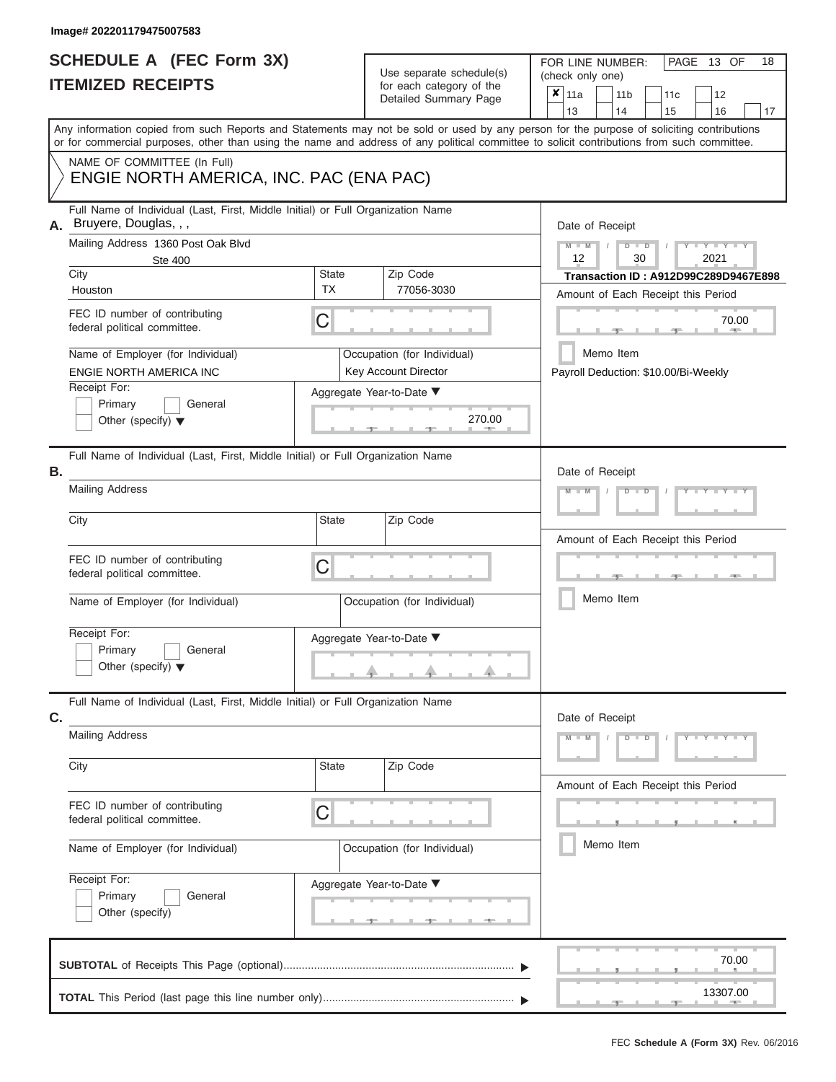Use separate schedule(s)<br>for each category of the

FOR LINE NUMBER:<br>(check only one)

PAGE 13 OF 18

|    |                                                                                                                                                                                                                                                                                         |                             |                 | badii balogory of life<br>Detailed Summary Page     | x                                                                          | 11a<br>13       |           |  | 11 <sub>b</sub><br>14                             | 11c<br>15 |  | 12<br>16        | 17 |  |
|----|-----------------------------------------------------------------------------------------------------------------------------------------------------------------------------------------------------------------------------------------------------------------------------------------|-----------------------------|-----------------|-----------------------------------------------------|----------------------------------------------------------------------------|-----------------|-----------|--|---------------------------------------------------|-----------|--|-----------------|----|--|
|    | Any information copied from such Reports and Statements may not be sold or used by any person for the purpose of soliciting contributions<br>or for commercial purposes, other than using the name and address of any political committee to solicit contributions from such committee. |                             |                 |                                                     |                                                                            |                 |           |  |                                                   |           |  |                 |    |  |
|    | NAME OF COMMITTEE (In Full)<br>ENGIE NORTH AMERICA, INC. PAC (ENA PAC)                                                                                                                                                                                                                  |                             |                 |                                                     |                                                                            |                 |           |  |                                                   |           |  |                 |    |  |
| А. | Full Name of Individual (Last, First, Middle Initial) or Full Organization Name<br>Bruyere, Douglas, , ,                                                                                                                                                                                |                             | Date of Receipt |                                                     |                                                                            |                 |           |  |                                                   |           |  |                 |    |  |
|    | Mailing Address 1360 Post Oak Blvd<br><b>Ste 400</b>                                                                                                                                                                                                                                    |                             | $M - M$<br>12   |                                                     |                                                                            | $D$ $D$<br>30   |           |  | $Y - Y - Y$<br>2021                               |           |  |                 |    |  |
|    | City<br>Houston                                                                                                                                                                                                                                                                         | <b>State</b><br><b>TX</b>   |                 | Zip Code<br>77056-3030                              | Transaction ID: A912D99C289D9467E898<br>Amount of Each Receipt this Period |                 |           |  |                                                   |           |  |                 |    |  |
|    | FEC ID number of contributing<br>federal political committee.                                                                                                                                                                                                                           | С                           |                 |                                                     |                                                                            |                 |           |  |                                                   | 70.00     |  |                 |    |  |
|    | Name of Employer (for Individual)<br>ENGIE NORTH AMERICA INC                                                                                                                                                                                                                            |                             |                 | Occupation (for Individual)<br>Key Account Director |                                                                            |                 |           |  | Memo Item<br>Payroll Deduction: \$10.00/Bi-Weekly |           |  |                 |    |  |
|    | Receipt For:<br>Primary<br>General<br>Other (specify) $\blacktriangledown$                                                                                                                                                                                                              |                             |                 | Aggregate Year-to-Date ▼<br>270.00                  |                                                                            |                 |           |  |                                                   |           |  |                 |    |  |
| Β. | Full Name of Individual (Last, First, Middle Initial) or Full Organization Name                                                                                                                                                                                                         |                             |                 |                                                     |                                                                            | Date of Receipt |           |  |                                                   |           |  |                 |    |  |
|    | <b>Mailing Address</b>                                                                                                                                                                                                                                                                  |                             |                 |                                                     |                                                                            |                 |           |  | $D - I$                                           |           |  |                 |    |  |
|    | City                                                                                                                                                                                                                                                                                    | <b>State</b>                |                 | Zip Code                                            |                                                                            |                 |           |  | Amount of Each Receipt this Period                |           |  |                 |    |  |
|    | FEC ID number of contributing<br>federal political committee.                                                                                                                                                                                                                           | С                           |                 |                                                     |                                                                            |                 |           |  |                                                   |           |  |                 |    |  |
|    | Name of Employer (for Individual)                                                                                                                                                                                                                                                       |                             |                 | Occupation (for Individual)                         |                                                                            |                 |           |  | Memo Item                                         |           |  |                 |    |  |
|    | Receipt For:<br>Primary<br>General<br>Other (specify) $\blacktriangledown$                                                                                                                                                                                                              |                             |                 | Aggregate Year-to-Date ▼                            |                                                                            |                 |           |  |                                                   |           |  |                 |    |  |
| C. | Full Name of Individual (Last, First, Middle Initial) or Full Organization Name                                                                                                                                                                                                         |                             |                 |                                                     |                                                                            | Date of Receipt |           |  |                                                   |           |  |                 |    |  |
|    | <b>Mailing Address</b>                                                                                                                                                                                                                                                                  |                             |                 |                                                     |                                                                            | $M - M$         |           |  | $D$ $D$                                           |           |  | $Y = Y = Y + Y$ |    |  |
|    | City                                                                                                                                                                                                                                                                                    | State                       |                 | Zip Code                                            |                                                                            |                 |           |  | Amount of Each Receipt this Period                |           |  |                 |    |  |
|    | FEC ID number of contributing<br>federal political committee.                                                                                                                                                                                                                           | С                           |                 |                                                     |                                                                            |                 |           |  |                                                   |           |  |                 |    |  |
|    | Name of Employer (for Individual)                                                                                                                                                                                                                                                       | Occupation (for Individual) |                 |                                                     |                                                                            |                 | Memo Item |  |                                                   |           |  |                 |    |  |
|    | Receipt For:<br>General<br>Primary<br>Other (specify)                                                                                                                                                                                                                                   |                             |                 | Aggregate Year-to-Date ▼                            |                                                                            |                 |           |  |                                                   |           |  |                 |    |  |
|    |                                                                                                                                                                                                                                                                                         |                             |                 |                                                     |                                                                            |                 |           |  |                                                   |           |  | 70.00           |    |  |
|    |                                                                                                                                                                                                                                                                                         |                             |                 |                                                     |                                                                            |                 |           |  |                                                   |           |  | 13307.00        |    |  |
|    |                                                                                                                                                                                                                                                                                         |                             |                 |                                                     |                                                                            |                 |           |  |                                                   |           |  |                 |    |  |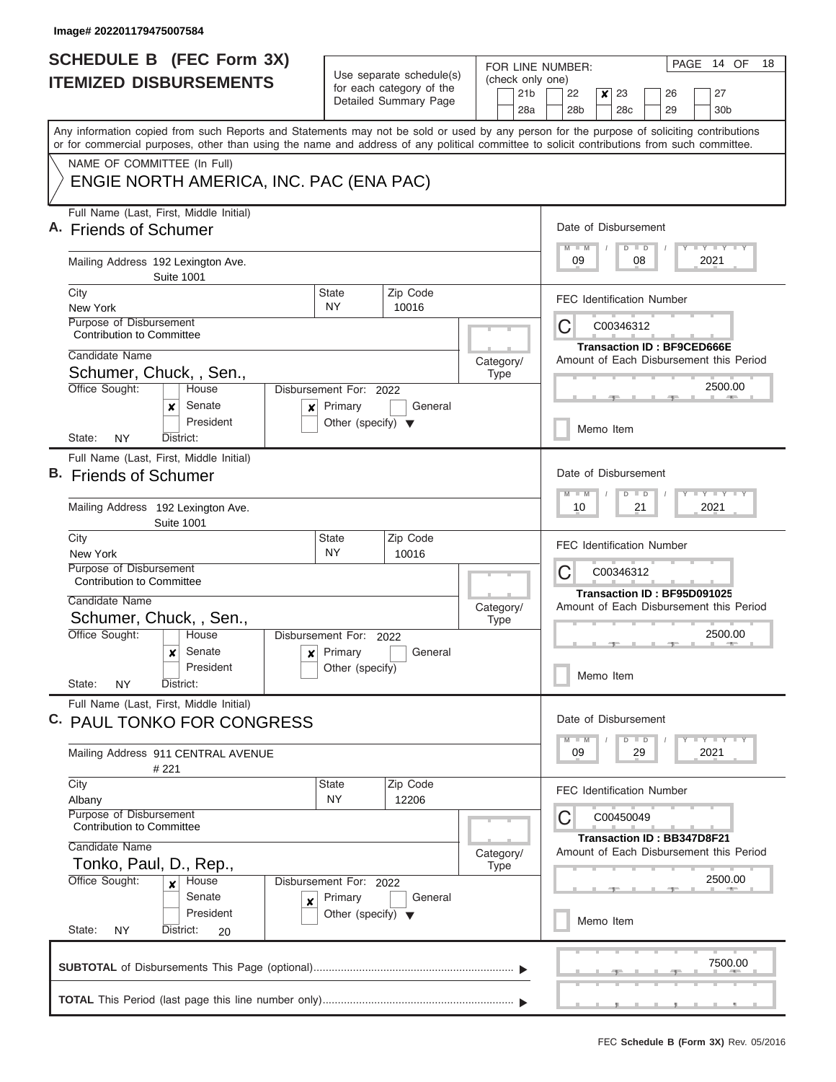| Use separate schedule(s)<br>(check only one)<br><b>ITEMIZED DISBURSEMENTS</b><br>for each category of the<br>21 <sub>b</sub><br>Detailed Summary Page<br>28a<br>Any information copied from such Reports and Statements may not be sold or used by any person for the purpose of soliciting contributions<br>or for commercial purposes, other than using the name and address of any political committee to solicit contributions from such committee.<br>NAME OF COMMITTEE (In Full)<br>ENGIE NORTH AMERICA, INC. PAC (ENA PAC)<br>Full Name (Last, First, Middle Initial)<br><b>Friends of Schumer</b><br>Mailing Address 192 Lexington Ave.<br><b>Suite 1001</b><br>Zip Code<br>City<br><b>State</b><br>NY.<br>10016<br>New York<br>Purpose of Disbursement<br>С<br><b>Contribution to Committee</b><br>Candidate Name<br>Category/<br>Schumer, Chuck, , Sen.,<br><b>Type</b><br>Office Sought:<br>House<br>Disbursement For: 2022<br>Senate<br>Primary<br>General<br>x<br>x<br>President<br>Other (specify) $\blacktriangledown$<br>District:<br>State:<br>NY.<br>Full Name (Last, First, Middle Initial)<br>В.<br><b>Friends of Schumer</b><br>Mailing Address 192 Lexington Ave.<br><b>Suite 1001</b><br>Zip Code<br>City<br>State | $\pmb{\times}$<br>27<br>22<br>23<br>26<br>28 <sub>b</sub><br>28c<br>30 <sub>b</sub><br>29<br>Date of Disbursement<br><b>LY LY LY</b><br>$M - M$<br>$D$ $D$<br>09<br>2021<br>08<br><b>FEC Identification Number</b><br>C00346312<br><b>Transaction ID: BF9CED666E</b><br>Amount of Each Disbursement this Period<br>2500.00<br>Memo Item<br>Date of Disbursement<br><b>LY LY LY</b><br>$D$ $D$ |
|-------------------------------------------------------------------------------------------------------------------------------------------------------------------------------------------------------------------------------------------------------------------------------------------------------------------------------------------------------------------------------------------------------------------------------------------------------------------------------------------------------------------------------------------------------------------------------------------------------------------------------------------------------------------------------------------------------------------------------------------------------------------------------------------------------------------------------------------------------------------------------------------------------------------------------------------------------------------------------------------------------------------------------------------------------------------------------------------------------------------------------------------------------------------------------------------------------------------------------------------|-----------------------------------------------------------------------------------------------------------------------------------------------------------------------------------------------------------------------------------------------------------------------------------------------------------------------------------------------------------------------------------------------|
|                                                                                                                                                                                                                                                                                                                                                                                                                                                                                                                                                                                                                                                                                                                                                                                                                                                                                                                                                                                                                                                                                                                                                                                                                                           |                                                                                                                                                                                                                                                                                                                                                                                               |
|                                                                                                                                                                                                                                                                                                                                                                                                                                                                                                                                                                                                                                                                                                                                                                                                                                                                                                                                                                                                                                                                                                                                                                                                                                           |                                                                                                                                                                                                                                                                                                                                                                                               |
|                                                                                                                                                                                                                                                                                                                                                                                                                                                                                                                                                                                                                                                                                                                                                                                                                                                                                                                                                                                                                                                                                                                                                                                                                                           |                                                                                                                                                                                                                                                                                                                                                                                               |
|                                                                                                                                                                                                                                                                                                                                                                                                                                                                                                                                                                                                                                                                                                                                                                                                                                                                                                                                                                                                                                                                                                                                                                                                                                           |                                                                                                                                                                                                                                                                                                                                                                                               |
|                                                                                                                                                                                                                                                                                                                                                                                                                                                                                                                                                                                                                                                                                                                                                                                                                                                                                                                                                                                                                                                                                                                                                                                                                                           |                                                                                                                                                                                                                                                                                                                                                                                               |
|                                                                                                                                                                                                                                                                                                                                                                                                                                                                                                                                                                                                                                                                                                                                                                                                                                                                                                                                                                                                                                                                                                                                                                                                                                           |                                                                                                                                                                                                                                                                                                                                                                                               |
|                                                                                                                                                                                                                                                                                                                                                                                                                                                                                                                                                                                                                                                                                                                                                                                                                                                                                                                                                                                                                                                                                                                                                                                                                                           |                                                                                                                                                                                                                                                                                                                                                                                               |
|                                                                                                                                                                                                                                                                                                                                                                                                                                                                                                                                                                                                                                                                                                                                                                                                                                                                                                                                                                                                                                                                                                                                                                                                                                           |                                                                                                                                                                                                                                                                                                                                                                                               |
|                                                                                                                                                                                                                                                                                                                                                                                                                                                                                                                                                                                                                                                                                                                                                                                                                                                                                                                                                                                                                                                                                                                                                                                                                                           |                                                                                                                                                                                                                                                                                                                                                                                               |
|                                                                                                                                                                                                                                                                                                                                                                                                                                                                                                                                                                                                                                                                                                                                                                                                                                                                                                                                                                                                                                                                                                                                                                                                                                           |                                                                                                                                                                                                                                                                                                                                                                                               |
|                                                                                                                                                                                                                                                                                                                                                                                                                                                                                                                                                                                                                                                                                                                                                                                                                                                                                                                                                                                                                                                                                                                                                                                                                                           |                                                                                                                                                                                                                                                                                                                                                                                               |
|                                                                                                                                                                                                                                                                                                                                                                                                                                                                                                                                                                                                                                                                                                                                                                                                                                                                                                                                                                                                                                                                                                                                                                                                                                           |                                                                                                                                                                                                                                                                                                                                                                                               |
|                                                                                                                                                                                                                                                                                                                                                                                                                                                                                                                                                                                                                                                                                                                                                                                                                                                                                                                                                                                                                                                                                                                                                                                                                                           |                                                                                                                                                                                                                                                                                                                                                                                               |
|                                                                                                                                                                                                                                                                                                                                                                                                                                                                                                                                                                                                                                                                                                                                                                                                                                                                                                                                                                                                                                                                                                                                                                                                                                           |                                                                                                                                                                                                                                                                                                                                                                                               |
|                                                                                                                                                                                                                                                                                                                                                                                                                                                                                                                                                                                                                                                                                                                                                                                                                                                                                                                                                                                                                                                                                                                                                                                                                                           |                                                                                                                                                                                                                                                                                                                                                                                               |
|                                                                                                                                                                                                                                                                                                                                                                                                                                                                                                                                                                                                                                                                                                                                                                                                                                                                                                                                                                                                                                                                                                                                                                                                                                           |                                                                                                                                                                                                                                                                                                                                                                                               |
|                                                                                                                                                                                                                                                                                                                                                                                                                                                                                                                                                                                                                                                                                                                                                                                                                                                                                                                                                                                                                                                                                                                                                                                                                                           |                                                                                                                                                                                                                                                                                                                                                                                               |
|                                                                                                                                                                                                                                                                                                                                                                                                                                                                                                                                                                                                                                                                                                                                                                                                                                                                                                                                                                                                                                                                                                                                                                                                                                           |                                                                                                                                                                                                                                                                                                                                                                                               |
|                                                                                                                                                                                                                                                                                                                                                                                                                                                                                                                                                                                                                                                                                                                                                                                                                                                                                                                                                                                                                                                                                                                                                                                                                                           |                                                                                                                                                                                                                                                                                                                                                                                               |
|                                                                                                                                                                                                                                                                                                                                                                                                                                                                                                                                                                                                                                                                                                                                                                                                                                                                                                                                                                                                                                                                                                                                                                                                                                           | 2021<br>10<br>21                                                                                                                                                                                                                                                                                                                                                                              |
| <b>NY</b><br>10016<br>New York                                                                                                                                                                                                                                                                                                                                                                                                                                                                                                                                                                                                                                                                                                                                                                                                                                                                                                                                                                                                                                                                                                                                                                                                            | FEC Identification Number                                                                                                                                                                                                                                                                                                                                                                     |
| Purpose of Disbursement<br>C                                                                                                                                                                                                                                                                                                                                                                                                                                                                                                                                                                                                                                                                                                                                                                                                                                                                                                                                                                                                                                                                                                                                                                                                              | C00346312                                                                                                                                                                                                                                                                                                                                                                                     |
| <b>Contribution to Committee</b>                                                                                                                                                                                                                                                                                                                                                                                                                                                                                                                                                                                                                                                                                                                                                                                                                                                                                                                                                                                                                                                                                                                                                                                                          | Transaction ID: BF95D091025                                                                                                                                                                                                                                                                                                                                                                   |
| Candidate Name<br>Category/                                                                                                                                                                                                                                                                                                                                                                                                                                                                                                                                                                                                                                                                                                                                                                                                                                                                                                                                                                                                                                                                                                                                                                                                               | Amount of Each Disbursement this Period                                                                                                                                                                                                                                                                                                                                                       |
| Schumer, Chuck, , Sen.,<br><b>Type</b>                                                                                                                                                                                                                                                                                                                                                                                                                                                                                                                                                                                                                                                                                                                                                                                                                                                                                                                                                                                                                                                                                                                                                                                                    |                                                                                                                                                                                                                                                                                                                                                                                               |
| Office Sought:<br>House<br>Disbursement For:<br>2022<br>Senate<br>Primary<br>General                                                                                                                                                                                                                                                                                                                                                                                                                                                                                                                                                                                                                                                                                                                                                                                                                                                                                                                                                                                                                                                                                                                                                      | 2500.00<br>- 92                                                                                                                                                                                                                                                                                                                                                                               |
| ×<br>×<br>President<br>Other (specify)                                                                                                                                                                                                                                                                                                                                                                                                                                                                                                                                                                                                                                                                                                                                                                                                                                                                                                                                                                                                                                                                                                                                                                                                    |                                                                                                                                                                                                                                                                                                                                                                                               |
| State:<br><b>NY</b><br>District:                                                                                                                                                                                                                                                                                                                                                                                                                                                                                                                                                                                                                                                                                                                                                                                                                                                                                                                                                                                                                                                                                                                                                                                                          | Memo Item                                                                                                                                                                                                                                                                                                                                                                                     |
| Full Name (Last, First, Middle Initial)                                                                                                                                                                                                                                                                                                                                                                                                                                                                                                                                                                                                                                                                                                                                                                                                                                                                                                                                                                                                                                                                                                                                                                                                   |                                                                                                                                                                                                                                                                                                                                                                                               |
| C. PAUL TONKO FOR CONGRESS                                                                                                                                                                                                                                                                                                                                                                                                                                                                                                                                                                                                                                                                                                                                                                                                                                                                                                                                                                                                                                                                                                                                                                                                                | Date of Disbursement                                                                                                                                                                                                                                                                                                                                                                          |
| Mailing Address 911 CENTRAL AVENUE<br>#221                                                                                                                                                                                                                                                                                                                                                                                                                                                                                                                                                                                                                                                                                                                                                                                                                                                                                                                                                                                                                                                                                                                                                                                                | $D$ $D$<br>$\mathsf{L} \mathsf{Y} \mathsf{L} \mathsf{Y} \mathsf{L} \mathsf{Y}$<br>$M$ $M$<br>2021<br>09<br>29                                                                                                                                                                                                                                                                                 |
| Zip Code<br>City<br><b>State</b>                                                                                                                                                                                                                                                                                                                                                                                                                                                                                                                                                                                                                                                                                                                                                                                                                                                                                                                                                                                                                                                                                                                                                                                                          | <b>FEC Identification Number</b>                                                                                                                                                                                                                                                                                                                                                              |
| NY<br>12206<br>Albany                                                                                                                                                                                                                                                                                                                                                                                                                                                                                                                                                                                                                                                                                                                                                                                                                                                                                                                                                                                                                                                                                                                                                                                                                     |                                                                                                                                                                                                                                                                                                                                                                                               |
| Purpose of Disbursement<br><b>Contribution to Committee</b>                                                                                                                                                                                                                                                                                                                                                                                                                                                                                                                                                                                                                                                                                                                                                                                                                                                                                                                                                                                                                                                                                                                                                                               | C00450049                                                                                                                                                                                                                                                                                                                                                                                     |
| Candidate Name                                                                                                                                                                                                                                                                                                                                                                                                                                                                                                                                                                                                                                                                                                                                                                                                                                                                                                                                                                                                                                                                                                                                                                                                                            | Transaction ID: BB347D8F21                                                                                                                                                                                                                                                                                                                                                                    |
| Category/<br>Tonko, Paul, D., Rep.,<br>Type                                                                                                                                                                                                                                                                                                                                                                                                                                                                                                                                                                                                                                                                                                                                                                                                                                                                                                                                                                                                                                                                                                                                                                                               | Amount of Each Disbursement this Period                                                                                                                                                                                                                                                                                                                                                       |
| Office Sought:<br>House<br>Disbursement For: 2022<br>x                                                                                                                                                                                                                                                                                                                                                                                                                                                                                                                                                                                                                                                                                                                                                                                                                                                                                                                                                                                                                                                                                                                                                                                    | 2500.00                                                                                                                                                                                                                                                                                                                                                                                       |
| Senate<br>Primary<br>General<br>×                                                                                                                                                                                                                                                                                                                                                                                                                                                                                                                                                                                                                                                                                                                                                                                                                                                                                                                                                                                                                                                                                                                                                                                                         |                                                                                                                                                                                                                                                                                                                                                                                               |
| President<br>Other (specify) $\blacktriangledown$                                                                                                                                                                                                                                                                                                                                                                                                                                                                                                                                                                                                                                                                                                                                                                                                                                                                                                                                                                                                                                                                                                                                                                                         | Memo Item                                                                                                                                                                                                                                                                                                                                                                                     |
| State:<br><b>NY</b><br>District:<br>20                                                                                                                                                                                                                                                                                                                                                                                                                                                                                                                                                                                                                                                                                                                                                                                                                                                                                                                                                                                                                                                                                                                                                                                                    |                                                                                                                                                                                                                                                                                                                                                                                               |
|                                                                                                                                                                                                                                                                                                                                                                                                                                                                                                                                                                                                                                                                                                                                                                                                                                                                                                                                                                                                                                                                                                                                                                                                                                           | 7500.00                                                                                                                                                                                                                                                                                                                                                                                       |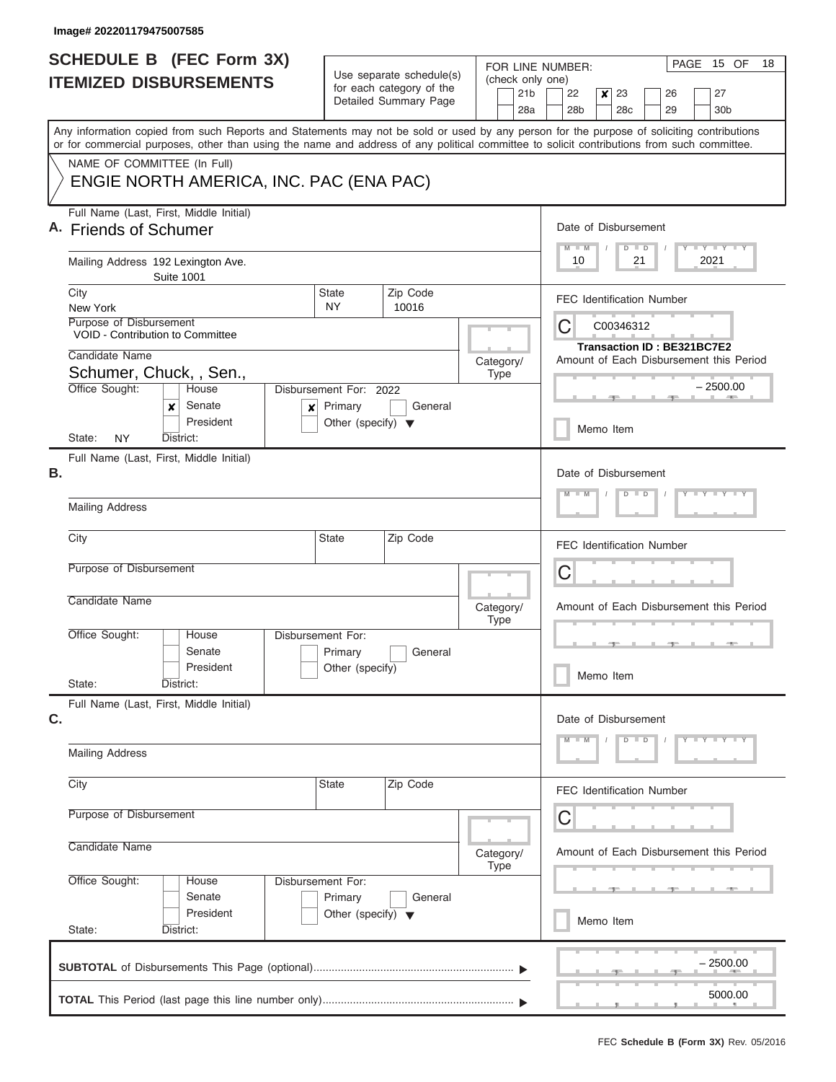I

| <b>SCHEDULE B</b> (FEC Form 3X)                                         |                                         |                                                                           | Use separate schedule(s)                          | FOR LINE NUMBER:                           | PAGE 15 OF<br>18                                                                                                                                                                                                                                                                        |
|-------------------------------------------------------------------------|-----------------------------------------|---------------------------------------------------------------------------|---------------------------------------------------|--------------------------------------------|-----------------------------------------------------------------------------------------------------------------------------------------------------------------------------------------------------------------------------------------------------------------------------------------|
| <b>ITEMIZED DISBURSEMENTS</b>                                           |                                         |                                                                           | for each category of the<br>Detailed Summary Page | (check only one)<br>21 <sub>b</sub><br>28a | 22<br>$\boldsymbol{x}$<br>23<br>26<br>27<br>28 <sub>b</sub><br>29<br>30 <sub>b</sub><br>28c                                                                                                                                                                                             |
|                                                                         |                                         |                                                                           |                                                   |                                            | Any information copied from such Reports and Statements may not be sold or used by any person for the purpose of soliciting contributions<br>or for commercial purposes, other than using the name and address of any political committee to solicit contributions from such committee. |
| NAME OF COMMITTEE (In Full)                                             | ENGIE NORTH AMERICA, INC. PAC (ENA PAC) |                                                                           |                                                   |                                            |                                                                                                                                                                                                                                                                                         |
| Full Name (Last, First, Middle Initial)<br>A. Friends of Schumer        |                                         |                                                                           |                                                   |                                            | Date of Disbursement<br>Y I Y I Y I Y<br>$D$ $D$                                                                                                                                                                                                                                        |
| Mailing Address 192 Lexington Ave.                                      | <b>Suite 1001</b>                       |                                                                           |                                                   |                                            | 2021<br>10<br>21                                                                                                                                                                                                                                                                        |
| City<br>New York                                                        |                                         | <b>State</b><br><b>NY</b>                                                 | Zip Code<br>10016                                 |                                            | <b>FEC Identification Number</b>                                                                                                                                                                                                                                                        |
| Purpose of Disbursement<br>VOID - Contribution to Committee             |                                         |                                                                           |                                                   |                                            | C<br>C00346312<br>Transaction ID: BE321BC7E2                                                                                                                                                                                                                                            |
| Candidate Name<br>Schumer, Chuck, , Sen.,                               |                                         |                                                                           |                                                   | Category/<br><b>Type</b>                   | Amount of Each Disbursement this Period                                                                                                                                                                                                                                                 |
| Office Sought:<br>x                                                     | House<br>Senate<br>x<br>President       | Disbursement For: 2022<br>Primary<br>Other (specify) $\blacktriangledown$ | General                                           |                                            | $-2500.00$                                                                                                                                                                                                                                                                              |
| <b>NY</b><br>State:                                                     | District:                               |                                                                           |                                                   |                                            | Memo Item                                                                                                                                                                                                                                                                               |
| Full Name (Last, First, Middle Initial)<br>В.<br><b>Mailing Address</b> |                                         |                                                                           |                                                   |                                            | Date of Disbursement<br>$Y = Y = Y = Y = I - Y$<br>$D$ $D$                                                                                                                                                                                                                              |
| City                                                                    |                                         | <b>State</b>                                                              | Zip Code                                          |                                            |                                                                                                                                                                                                                                                                                         |
| Purpose of Disbursement                                                 |                                         |                                                                           |                                                   |                                            | <b>FEC Identification Number</b><br>С                                                                                                                                                                                                                                                   |
| Candidate Name                                                          |                                         |                                                                           |                                                   | Category/<br>Type                          | Amount of Each Disbursement this Period                                                                                                                                                                                                                                                 |
| Office Sought:                                                          | House<br>Senate<br>President            | Disbursement For:<br>Primary                                              | General                                           |                                            |                                                                                                                                                                                                                                                                                         |
| State:                                                                  | District:                               | Other (specify)                                                           |                                                   |                                            | Memo Item                                                                                                                                                                                                                                                                               |
| Full Name (Last, First, Middle Initial)<br>C.                           |                                         |                                                                           |                                                   |                                            | Date of Disbursement<br>Y FY FY FY<br>$D$ $D$                                                                                                                                                                                                                                           |
| <b>Mailing Address</b>                                                  |                                         |                                                                           |                                                   |                                            |                                                                                                                                                                                                                                                                                         |
| City                                                                    |                                         | <b>State</b>                                                              | Zip Code                                          |                                            | <b>FEC Identification Number</b>                                                                                                                                                                                                                                                        |
| Purpose of Disbursement                                                 |                                         |                                                                           |                                                   |                                            | С                                                                                                                                                                                                                                                                                       |
| Candidate Name                                                          |                                         |                                                                           |                                                   | Category/<br><b>Type</b>                   | Amount of Each Disbursement this Period                                                                                                                                                                                                                                                 |
| Office Sought:                                                          | House<br>Senate                         | Disbursement For:<br>Primary                                              | General                                           |                                            |                                                                                                                                                                                                                                                                                         |
| State:                                                                  | President<br>District:                  | Other (specify) $\blacktriangledown$                                      |                                                   |                                            | Memo Item                                                                                                                                                                                                                                                                               |
|                                                                         |                                         |                                                                           |                                                   |                                            | $-2500.00$<br>5000.00                                                                                                                                                                                                                                                                   |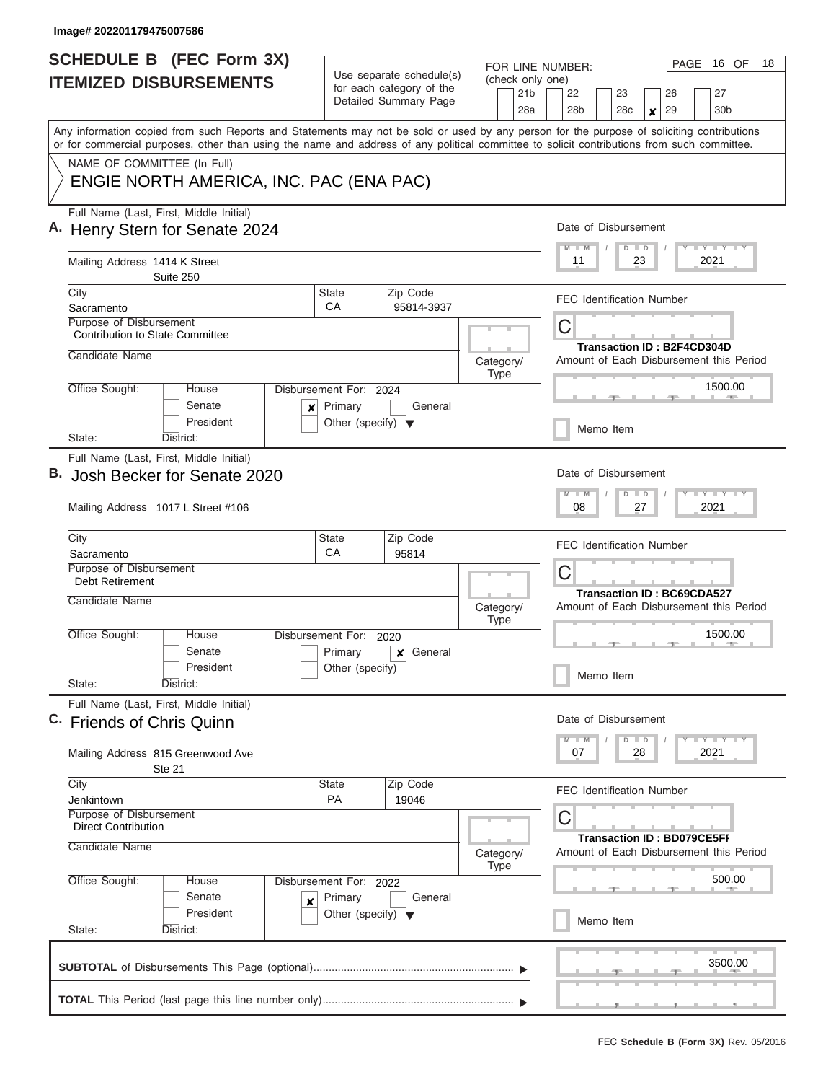I

| <b>SCHEDULE B</b> (FEC Form 3X)                                                                                                                                                                                                                                                         | Use separate schedule(s)                                   | FOR LINE NUMBER:                           | PAGE<br>16 OF<br>18                                                                                     |
|-----------------------------------------------------------------------------------------------------------------------------------------------------------------------------------------------------------------------------------------------------------------------------------------|------------------------------------------------------------|--------------------------------------------|---------------------------------------------------------------------------------------------------------|
| <b>ITEMIZED DISBURSEMENTS</b>                                                                                                                                                                                                                                                           | for each category of the<br>Detailed Summary Page          | (check only one)<br>21 <sub>b</sub><br>28a | 22<br>23<br>27<br>26<br>28 <sub>b</sub><br>28 <sub>c</sub><br>29<br>30 <sub>b</sub><br>$\boldsymbol{x}$ |
| Any information copied from such Reports and Statements may not be sold or used by any person for the purpose of soliciting contributions<br>or for commercial purposes, other than using the name and address of any political committee to solicit contributions from such committee. |                                                            |                                            |                                                                                                         |
| NAME OF COMMITTEE (In Full)<br>ENGIE NORTH AMERICA, INC. PAC (ENA PAC)                                                                                                                                                                                                                  |                                                            |                                            |                                                                                                         |
| Full Name (Last, First, Middle Initial)<br>A. Henry Stern for Senate 2024                                                                                                                                                                                                               |                                                            |                                            | Date of Disbursement<br>Y LY LY LY<br>$\overline{M}$<br>$D$ $D$                                         |
| Mailing Address 1414 K Street<br>Suite 250                                                                                                                                                                                                                                              |                                                            |                                            | 2021<br>11<br>23                                                                                        |
| City<br>Sacramento<br>Purpose of Disbursement                                                                                                                                                                                                                                           | Zip Code<br>State<br>СA<br>95814-3937                      |                                            | <b>FEC Identification Number</b>                                                                        |
| <b>Contribution to State Committee</b><br>Candidate Name                                                                                                                                                                                                                                |                                                            |                                            | С<br><b>Transaction ID: B2F4CD304D</b>                                                                  |
| Office Sought:<br>House                                                                                                                                                                                                                                                                 | Disbursement For: 2024                                     | Category/<br><b>Type</b>                   | Amount of Each Disbursement this Period<br>1500.00                                                      |
| Senate<br>×<br>President                                                                                                                                                                                                                                                                | General<br>Primary<br>Other (specify) $\blacktriangledown$ |                                            | Memo Item                                                                                               |
| State:<br>District:<br>Full Name (Last, First, Middle Initial)                                                                                                                                                                                                                          |                                                            |                                            |                                                                                                         |
| Josh Becker for Senate 2020                                                                                                                                                                                                                                                             |                                                            |                                            | Date of Disbursement<br>Y FY FY FY<br>$D$ $D$<br>$-M$                                                   |
| Mailing Address 1017 L Street #106                                                                                                                                                                                                                                                      |                                                            |                                            | 08<br>2021<br>27                                                                                        |
| City<br>Sacramento                                                                                                                                                                                                                                                                      | Zip Code<br><b>State</b><br>CA<br>95814                    |                                            | <b>FEC Identification Number</b>                                                                        |
| Purpose of Disbursement<br><b>Debt Retirement</b><br>Candidate Name                                                                                                                                                                                                                     |                                                            | Category/                                  | С<br><b>Transaction ID: BC69CDA527</b><br>Amount of Each Disbursement this Period                       |
| Office Sought:<br>House<br>Senate                                                                                                                                                                                                                                                       | Disbursement For: 2020<br>Primary<br>General<br>×          | <b>Type</b>                                | 1500.00                                                                                                 |
| President<br>State:<br>District:                                                                                                                                                                                                                                                        | Other (specify)                                            |                                            | Memo Item                                                                                               |
| Full Name (Last, First, Middle Initial)<br>C. Friends of Chris Quinn                                                                                                                                                                                                                    |                                                            |                                            | Date of Disbursement                                                                                    |
| Mailing Address 815 Greenwood Ave<br>Ste 21                                                                                                                                                                                                                                             |                                                            |                                            | $Y$ $Y$ $Y$ $Y$ $Y$<br>$D$ $D$<br>2021<br>07<br>28                                                      |
| City<br>Jenkintown                                                                                                                                                                                                                                                                      | Zip Code<br>State<br>PA<br>19046                           |                                            | <b>FEC Identification Number</b>                                                                        |
| Purpose of Disbursement<br>Direct Contribution<br>Candidate Name                                                                                                                                                                                                                        |                                                            | Category/<br><b>Type</b>                   | С<br><b>Transaction ID: BD079CE5FF</b><br>Amount of Each Disbursement this Period                       |
| Office Sought:<br>House                                                                                                                                                                                                                                                                 | Disbursement For: 2022                                     |                                            | 500.00                                                                                                  |
| Senate<br>$\boldsymbol{x}$<br>President                                                                                                                                                                                                                                                 | Primary<br>General<br>Other (specify) $\blacktriangledown$ |                                            |                                                                                                         |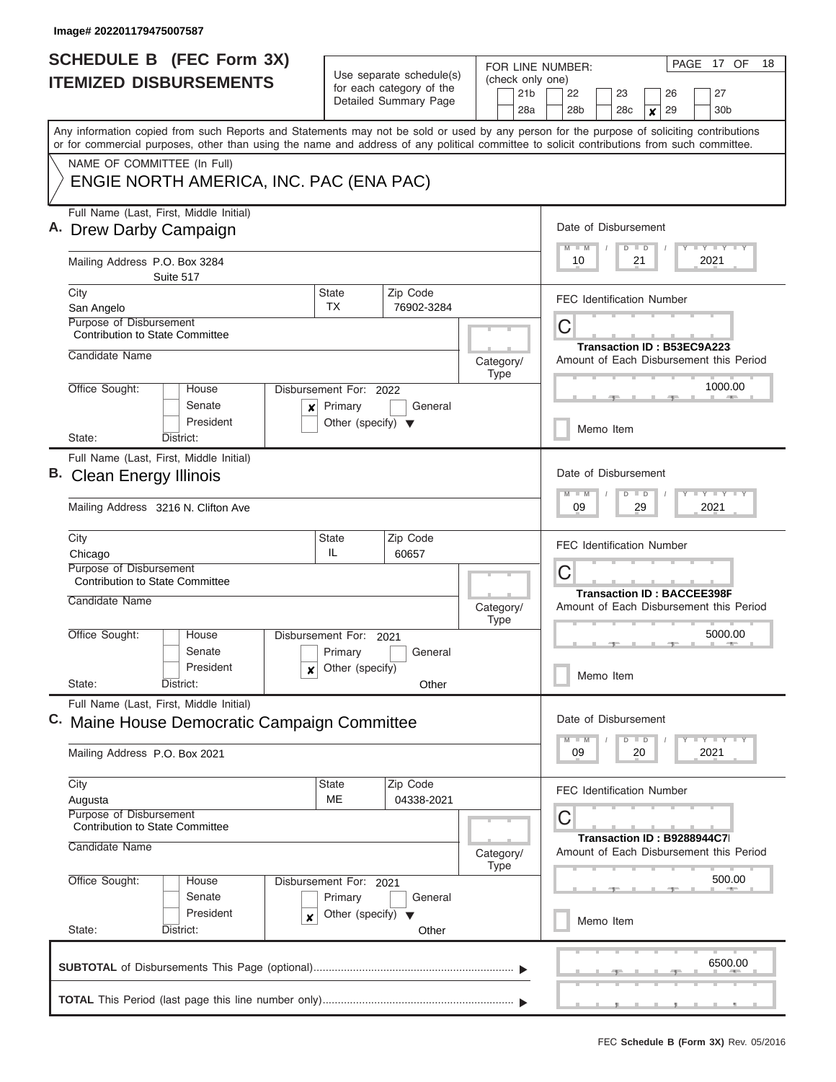I

| <b>ITEMIZED DISBURSEMENTS</b>                                                              | <b>SCHEDULE B (FEC Form 3X)</b>              |                                                                     | Use separate schedule(s)<br>for each category of the | FOR LINE NUMBER:<br>(check only one)<br>21 <sub>b</sub> | 17 OF<br>18<br>PAGE<br>27<br>22<br>23<br>26                                                                                                                                                                                                                                             |
|--------------------------------------------------------------------------------------------|----------------------------------------------|---------------------------------------------------------------------|------------------------------------------------------|---------------------------------------------------------|-----------------------------------------------------------------------------------------------------------------------------------------------------------------------------------------------------------------------------------------------------------------------------------------|
|                                                                                            |                                              |                                                                     | Detailed Summary Page                                | 28a                                                     | 28b<br>28 <sub>c</sub><br>29<br>30 <sub>b</sub><br>$\mathbf{x}$                                                                                                                                                                                                                         |
|                                                                                            |                                              |                                                                     |                                                      |                                                         | Any information copied from such Reports and Statements may not be sold or used by any person for the purpose of soliciting contributions<br>or for commercial purposes, other than using the name and address of any political committee to solicit contributions from such committee. |
| NAME OF COMMITTEE (In Full)                                                                | ENGIE NORTH AMERICA, INC. PAC (ENA PAC)      |                                                                     |                                                      |                                                         |                                                                                                                                                                                                                                                                                         |
| Full Name (Last, First, Middle Initial)<br>A. Drew Darby Campaign                          |                                              |                                                                     |                                                      |                                                         | Date of Disbursement                                                                                                                                                                                                                                                                    |
| Mailing Address P.O. Box 3284                                                              | Suite 517                                    |                                                                     |                                                      |                                                         | $M$ $M$<br>$Y$ $Y$ $Y$ $Y$ $Y$<br>$D$ $D$<br>10<br>21<br>2021                                                                                                                                                                                                                           |
| City<br>San Angelo                                                                         |                                              | <b>State</b><br>TX.                                                 | Zip Code<br>76902-3284                               |                                                         | <b>FEC Identification Number</b>                                                                                                                                                                                                                                                        |
| <b>Purpose of Disbursement</b><br><b>Contribution to State Committee</b><br>Candidate Name |                                              |                                                                     |                                                      |                                                         | C<br>Transaction ID: B53EC9A223                                                                                                                                                                                                                                                         |
| Office Sought:                                                                             | House                                        | Disbursement For: 2022                                              |                                                      | Category/<br><b>Type</b>                                | Amount of Each Disbursement this Period<br>1000.00                                                                                                                                                                                                                                      |
|                                                                                            | Senate<br>President                          | Primary<br>$\boldsymbol{x}$<br>Other (specify) $\blacktriangledown$ | General                                              |                                                         | Memo Item                                                                                                                                                                                                                                                                               |
| State:                                                                                     | District:                                    |                                                                     |                                                      |                                                         |                                                                                                                                                                                                                                                                                         |
| Full Name (Last, First, Middle Initial)<br>B. Clean Energy Illinois                        |                                              |                                                                     |                                                      |                                                         | Date of Disbursement<br>$Y - Y - Y - Y - I - Y$<br>$M - M$<br>$D$ $D$                                                                                                                                                                                                                   |
| Mailing Address 3216 N. Clifton Ave                                                        |                                              |                                                                     |                                                      |                                                         | 09<br>29<br>2021                                                                                                                                                                                                                                                                        |
| City<br>Chicago                                                                            |                                              | <b>State</b><br>IL                                                  | Zip Code<br>60657                                    |                                                         | <b>FEC Identification Number</b>                                                                                                                                                                                                                                                        |
| Purpose of Disbursement<br><b>Contribution to State Committee</b>                          |                                              |                                                                     |                                                      |                                                         | С<br><b>Transaction ID: BACCEE398F</b>                                                                                                                                                                                                                                                  |
| Candidate Name                                                                             |                                              |                                                                     |                                                      | Category/<br><b>Type</b>                                | Amount of Each Disbursement this Period                                                                                                                                                                                                                                                 |
| Office Sought:                                                                             | House<br>Senate                              | Disbursement For:<br>Primary                                        | 2021<br>General                                      |                                                         | 5000.00<br>$-1$                                                                                                                                                                                                                                                                         |
| State:                                                                                     | President<br>District:                       | Other (specify)<br>x                                                | Other                                                |                                                         | Memo Item                                                                                                                                                                                                                                                                               |
| Full Name (Last, First, Middle Initial)                                                    | C. Maine House Democratic Campaign Committee |                                                                     |                                                      |                                                         | Date of Disbursement                                                                                                                                                                                                                                                                    |
| Mailing Address P.O. Box 2021                                                              |                                              |                                                                     |                                                      |                                                         | $D$ $D$<br>$Y + Y + Y$<br>2021<br>09<br>20                                                                                                                                                                                                                                              |
| City<br>Augusta                                                                            |                                              | State<br><b>ME</b>                                                  | Zip Code<br>04338-2021                               |                                                         | <b>FEC Identification Number</b>                                                                                                                                                                                                                                                        |
| Purpose of Disbursement<br><b>Contribution to State Committee</b><br>Candidate Name        |                                              |                                                                     |                                                      | Category/<br>Type                                       | С<br>Transaction ID: B9288944C7<br>Amount of Each Disbursement this Period                                                                                                                                                                                                              |
| Office Sought:                                                                             | House<br>Senate                              | Disbursement For: 2021<br>Primary                                   | General                                              |                                                         | 500.00                                                                                                                                                                                                                                                                                  |
| State:                                                                                     | President<br>District:                       | Other (specify) $\blacktriangledown$<br>x                           | Other                                                |                                                         | Memo Item                                                                                                                                                                                                                                                                               |
|                                                                                            |                                              |                                                                     |                                                      |                                                         | 6500.00                                                                                                                                                                                                                                                                                 |